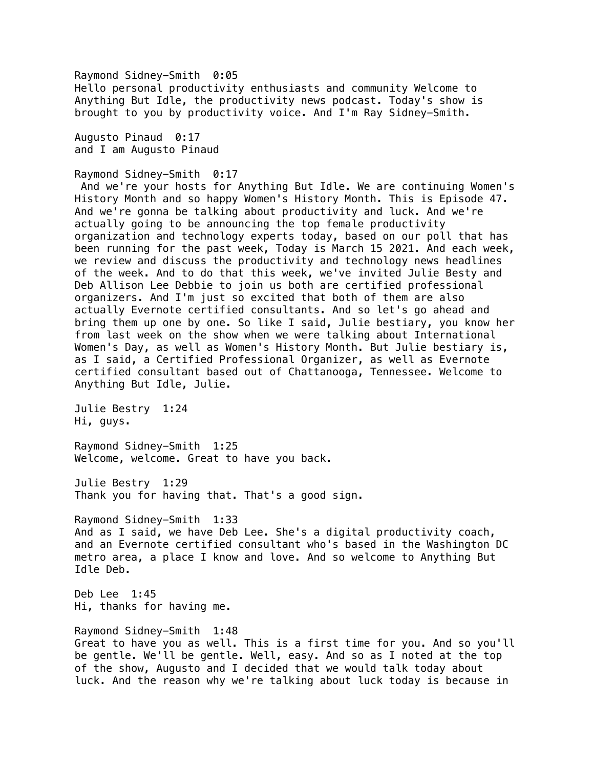Raymond Sidney-Smith 0:05 Hello personal productivity enthusiasts and community Welcome to Anything But Idle, the productivity news podcast. Today's show is brought to you by productivity voice. And I'm Ray Sidney-Smith.

Augusto Pinaud 0:17 and I am Augusto Pinaud

### Raymond Sidney-Smith 0:17

 And we're your hosts for Anything But Idle. We are continuing Women's History Month and so happy Women's History Month. This is Episode 47. And we're gonna be talking about productivity and luck. And we're actually going to be announcing the top female productivity organization and technology experts today, based on our poll that has been running for the past week, Today is March 15 2021. And each week, we review and discuss the productivity and technology news headlines of the week. And to do that this week, we've invited Julie Besty and Deb Allison Lee Debbie to join us both are certified professional organizers. And I'm just so excited that both of them are also actually Evernote certified consultants. And so let's go ahead and bring them up one by one. So like I said, Julie bestiary, you know her from last week on the show when we were talking about International Women's Day, as well as Women's History Month. But Julie bestiary is, as I said, a Certified Professional Organizer, as well as Evernote certified consultant based out of Chattanooga, Tennessee. Welcome to Anything But Idle, Julie.

Julie Bestry 1:24 Hi, guys.

Raymond Sidney-Smith 1:25 Welcome, welcome. Great to have you back.

Julie Bestry 1:29 Thank you for having that. That's a good sign.

Raymond Sidney-Smith 1:33 And as I said, we have Deb Lee. She's a digital productivity coach, and an Evernote certified consultant who's based in the Washington DC metro area, a place I know and love. And so welcome to Anything But Idle Deb.

Deb Lee 1:45 Hi, thanks for having me.

Raymond Sidney-Smith 1:48 Great to have you as well. This is a first time for you. And so you'll be gentle. We'll be gentle. Well, easy. And so as I noted at the top of the show, Augusto and I decided that we would talk today about luck. And the reason why we're talking about luck today is because in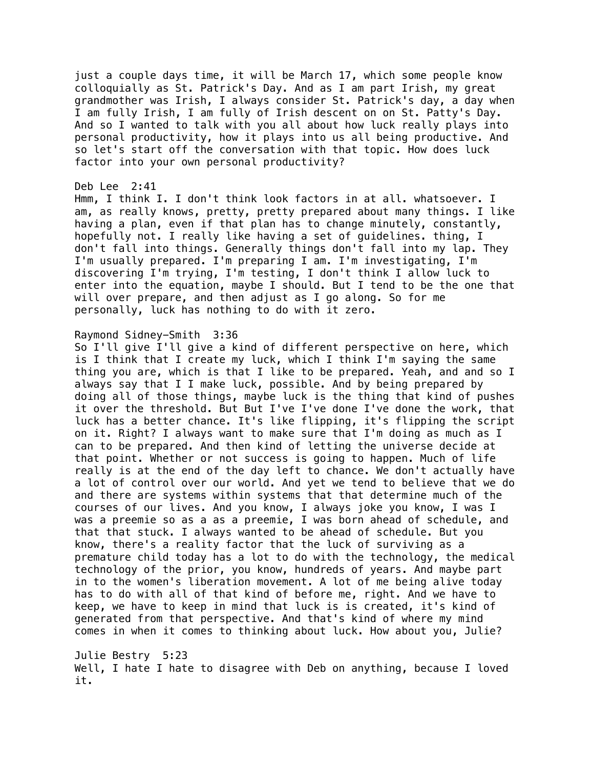just a couple days time, it will be March 17, which some people know colloquially as St. Patrick's Day. And as I am part Irish, my great grandmother was Irish, I always consider St. Patrick's day, a day when I am fully Irish, I am fully of Irish descent on on St. Patty's Day. And so I wanted to talk with you all about how luck really plays into personal productivity, how it plays into us all being productive. And so let's start off the conversation with that topic. How does luck factor into your own personal productivity?

### Deb Lee 2:41

Hmm, I think I. I don't think look factors in at all. whatsoever. I am, as really knows, pretty, pretty prepared about many things. I like having a plan, even if that plan has to change minutely, constantly, hopefully not. I really like having a set of guidelines. thing, I don't fall into things. Generally things don't fall into my lap. They I'm usually prepared. I'm preparing I am. I'm investigating, I'm discovering I'm trying, I'm testing, I don't think I allow luck to enter into the equation, maybe I should. But I tend to be the one that will over prepare, and then adjust as I go along. So for me personally, luck has nothing to do with it zero.

### Raymond Sidney-Smith 3:36

So I'll give I'll give a kind of different perspective on here, which is I think that I create my luck, which I think I'm saying the same thing you are, which is that I like to be prepared. Yeah, and and so I always say that I I make luck, possible. And by being prepared by doing all of those things, maybe luck is the thing that kind of pushes it over the threshold. But But I've I've done I've done the work, that luck has a better chance. It's like flipping, it's flipping the script on it. Right? I always want to make sure that I'm doing as much as I can to be prepared. And then kind of letting the universe decide at that point. Whether or not success is going to happen. Much of life really is at the end of the day left to chance. We don't actually have a lot of control over our world. And yet we tend to believe that we do and there are systems within systems that that determine much of the courses of our lives. And you know, I always joke you know, I was I was a preemie so as a as a preemie, I was born ahead of schedule, and that that stuck. I always wanted to be ahead of schedule. But you know, there's a reality factor that the luck of surviving as a premature child today has a lot to do with the technology, the medical technology of the prior, you know, hundreds of years. And maybe part in to the women's liberation movement. A lot of me being alive today has to do with all of that kind of before me, right. And we have to keep, we have to keep in mind that luck is is created, it's kind of generated from that perspective. And that's kind of where my mind comes in when it comes to thinking about luck. How about you, Julie?

Julie Bestry 5:23 Well, I hate I hate to disagree with Deb on anything, because I loved it.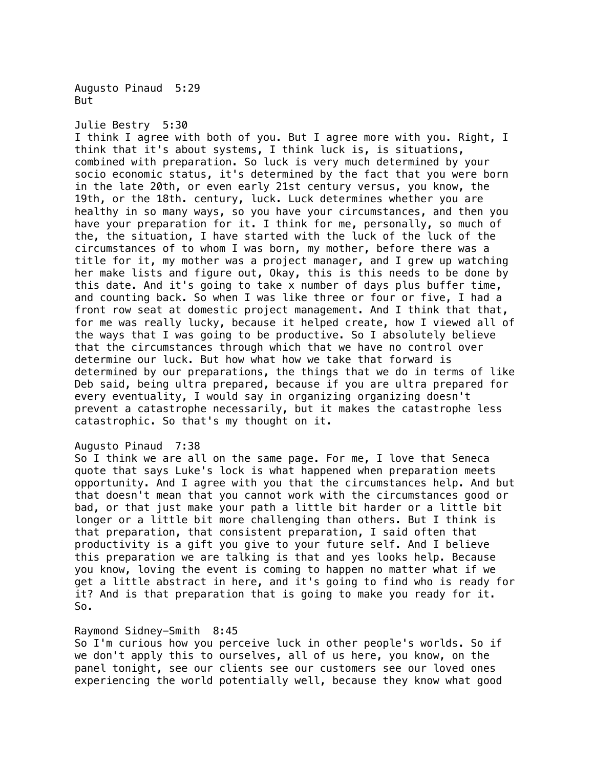Augusto Pinaud 5:29 But

### Julie Bestry 5:30

I think I agree with both of you. But I agree more with you. Right, I think that it's about systems, I think luck is, is situations, combined with preparation. So luck is very much determined by your socio economic status, it's determined by the fact that you were born in the late 20th, or even early 21st century versus, you know, the 19th, or the 18th. century, luck. Luck determines whether you are healthy in so many ways, so you have your circumstances, and then you have your preparation for it. I think for me, personally, so much of the, the situation, I have started with the luck of the luck of the circumstances of to whom I was born, my mother, before there was a title for it, my mother was a project manager, and I grew up watching her make lists and figure out, Okay, this is this needs to be done by this date. And it's going to take x number of days plus buffer time, and counting back. So when I was like three or four or five, I had a front row seat at domestic project management. And I think that that, for me was really lucky, because it helped create, how I viewed all of the ways that I was going to be productive. So I absolutely believe that the circumstances through which that we have no control over determine our luck. But how what how we take that forward is determined by our preparations, the things that we do in terms of like Deb said, being ultra prepared, because if you are ultra prepared for every eventuality, I would say in organizing organizing doesn't prevent a catastrophe necessarily, but it makes the catastrophe less catastrophic. So that's my thought on it.

### Augusto Pinaud 7:38

So I think we are all on the same page. For me, I love that Seneca quote that says Luke's lock is what happened when preparation meets opportunity. And I agree with you that the circumstances help. And but that doesn't mean that you cannot work with the circumstances good or bad, or that just make your path a little bit harder or a little bit longer or a little bit more challenging than others. But I think is that preparation, that consistent preparation, I said often that productivity is a gift you give to your future self. And I believe this preparation we are talking is that and yes looks help. Because you know, loving the event is coming to happen no matter what if we get a little abstract in here, and it's going to find who is ready for it? And is that preparation that is going to make you ready for it. So.

# Raymond Sidney-Smith 8:45

So I'm curious how you perceive luck in other people's worlds. So if we don't apply this to ourselves, all of us here, you know, on the panel tonight, see our clients see our customers see our loved ones experiencing the world potentially well, because they know what good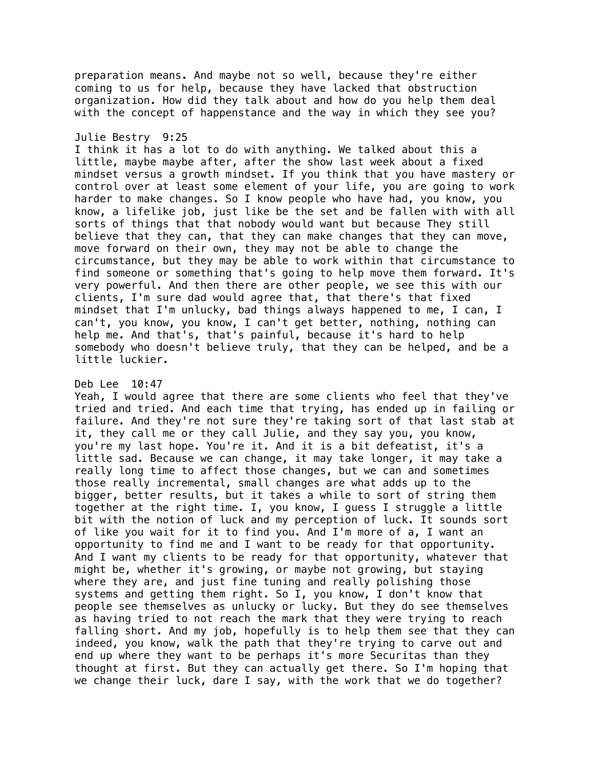preparation means. And maybe not so well, because they're either coming to us for help, because they have lacked that obstruction organization. How did they talk about and how do you help them deal with the concept of happenstance and the way in which they see you?

### Julie Bestry 9:25

I think it has a lot to do with anything. We talked about this a little, maybe maybe after, after the show last week about a fixed mindset versus a growth mindset. If you think that you have mastery or control over at least some element of your life, you are going to work harder to make changes. So I know people who have had, you know, you know, a lifelike job, just like be the set and be fallen with with all sorts of things that that nobody would want but because They still believe that they can, that they can make changes that they can move, move forward on their own, they may not be able to change the circumstance, but they may be able to work within that circumstance to find someone or something that's going to help move them forward. It's very powerful. And then there are other people, we see this with our clients, I'm sure dad would agree that, that there's that fixed mindset that I'm unlucky, bad things always happened to me, I can, I can't, you know, you know, I can't get better, nothing, nothing can help me. And that's, that's painful, because it's hard to help somebody who doesn't believe truly, that they can be helped, and be a little luckier.

# Deb Lee 10:47

Yeah, I would agree that there are some clients who feel that they've tried and tried. And each time that trying, has ended up in failing or failure. And they're not sure they're taking sort of that last stab at it, they call me or they call Julie, and they say you, you know, you're my last hope. You're it. And it is a bit defeatist, it's a little sad. Because we can change, it may take longer, it may take a really long time to affect those changes, but we can and sometimes those really incremental, small changes are what adds up to the bigger, better results, but it takes a while to sort of string them together at the right time. I, you know, I guess I struggle a little bit with the notion of luck and my perception of luck. It sounds sort of like you wait for it to find you. And I'm more of a, I want an opportunity to find me and I want to be ready for that opportunity. And I want my clients to be ready for that opportunity, whatever that might be, whether it's growing, or maybe not growing, but staying where they are, and just fine tuning and really polishing those systems and getting them right. So I, you know, I don't know that people see themselves as unlucky or lucky. But they do see themselves as having tried to not reach the mark that they were trying to reach falling short. And my job, hopefully is to help them see that they can indeed, you know, walk the path that they're trying to carve out and end up where they want to be perhaps it's more Securitas than they thought at first. But they can actually get there. So I'm hoping that we change their luck, dare I say, with the work that we do together?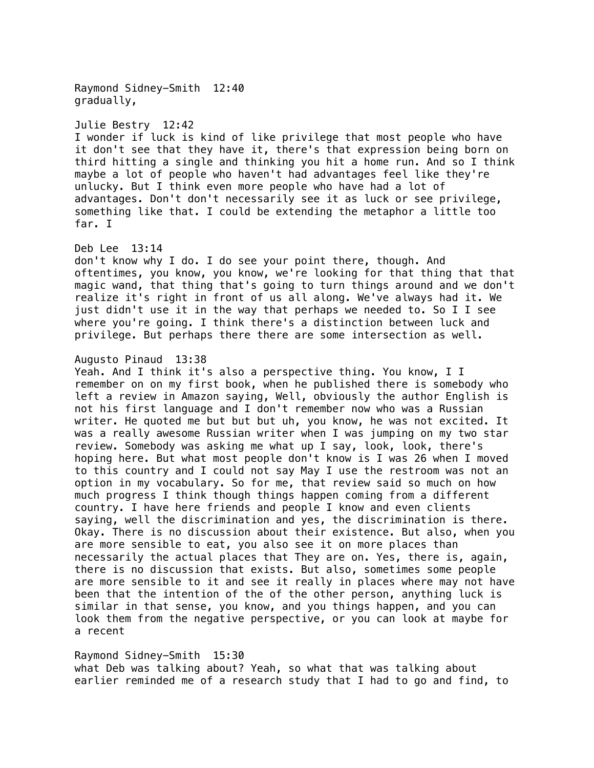Raymond Sidney-Smith 12:40 gradually,

# Julie Bestry 12:42

I wonder if luck is kind of like privilege that most people who have it don't see that they have it, there's that expression being born on third hitting a single and thinking you hit a home run. And so I think maybe a lot of people who haven't had advantages feel like they're unlucky. But I think even more people who have had a lot of advantages. Don't don't necessarily see it as luck or see privilege, something like that. I could be extending the metaphor a little too far. I

# Deb Lee 13:14

don't know why I do. I do see your point there, though. And oftentimes, you know, you know, we're looking for that thing that that magic wand, that thing that's going to turn things around and we don't realize it's right in front of us all along. We've always had it. We just didn't use it in the way that perhaps we needed to. So I I see where you're going. I think there's a distinction between luck and privilege. But perhaps there there are some intersection as well.

# Augusto Pinaud 13:38

Yeah. And I think it's also a perspective thing. You know, I I remember on on my first book, when he published there is somebody who left a review in Amazon saying, Well, obviously the author English is not his first language and I don't remember now who was a Russian writer. He quoted me but but but uh, you know, he was not excited. It was a really awesome Russian writer when I was jumping on my two star review. Somebody was asking me what up I say, look, look, there's hoping here. But what most people don't know is I was 26 when I moved to this country and I could not say May I use the restroom was not an option in my vocabulary. So for me, that review said so much on how much progress I think though things happen coming from a different country. I have here friends and people I know and even clients saying, well the discrimination and yes, the discrimination is there. Okay. There is no discussion about their existence. But also, when you are more sensible to eat, you also see it on more places than necessarily the actual places that They are on. Yes, there is, again, there is no discussion that exists. But also, sometimes some people are more sensible to it and see it really in places where may not have been that the intention of the of the other person, anything luck is similar in that sense, you know, and you things happen, and you can look them from the negative perspective, or you can look at maybe for a recent

# Raymond Sidney-Smith 15:30 what Deb was talking about? Yeah, so what that was talking about earlier reminded me of a research study that I had to go and find, to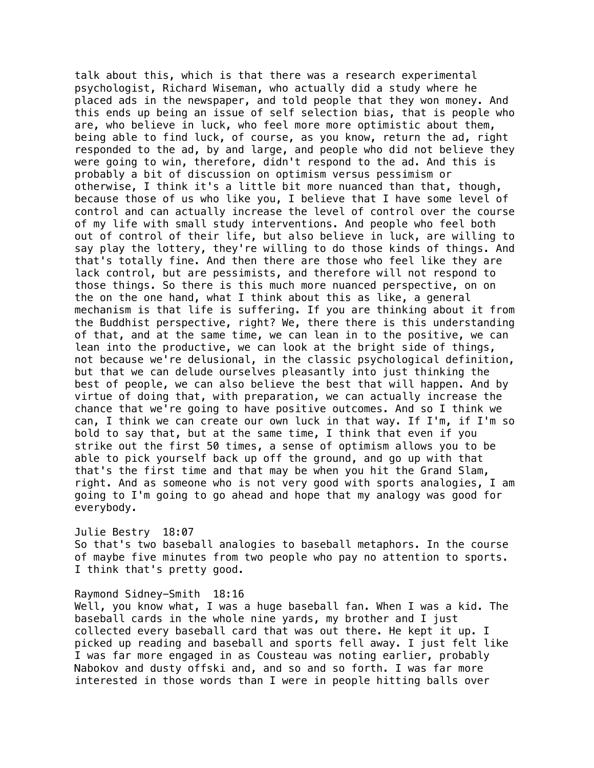talk about this, which is that there was a research experimental psychologist, Richard Wiseman, who actually did a study where he placed ads in the newspaper, and told people that they won money. And this ends up being an issue of self selection bias, that is people who are, who believe in luck, who feel more more optimistic about them, being able to find luck, of course, as you know, return the ad, right responded to the ad, by and large, and people who did not believe they were going to win, therefore, didn't respond to the ad. And this is probably a bit of discussion on optimism versus pessimism or otherwise, I think it's a little bit more nuanced than that, though, because those of us who like you, I believe that I have some level of control and can actually increase the level of control over the course of my life with small study interventions. And people who feel both out of control of their life, but also believe in luck, are willing to say play the lottery, they're willing to do those kinds of things. And that's totally fine. And then there are those who feel like they are lack control, but are pessimists, and therefore will not respond to those things. So there is this much more nuanced perspective, on on the on the one hand, what I think about this as like, a general mechanism is that life is suffering. If you are thinking about it from the Buddhist perspective, right? We, there there is this understanding of that, and at the same time, we can lean in to the positive, we can lean into the productive, we can look at the bright side of things, not because we're delusional, in the classic psychological definition, but that we can delude ourselves pleasantly into just thinking the best of people, we can also believe the best that will happen. And by virtue of doing that, with preparation, we can actually increase the chance that we're going to have positive outcomes. And so I think we can, I think we can create our own luck in that way. If I'm, if I'm so bold to say that, but at the same time, I think that even if you strike out the first 50 times, a sense of optimism allows you to be able to pick yourself back up off the ground, and go up with that that's the first time and that may be when you hit the Grand Slam, right. And as someone who is not very good with sports analogies, I am going to I'm going to go ahead and hope that my analogy was good for everybody.

#### Julie Bestry 18:07

So that's two baseball analogies to baseball metaphors. In the course of maybe five minutes from two people who pay no attention to sports. I think that's pretty good.

#### Raymond Sidney-Smith 18:16

Well, you know what, I was a huge baseball fan. When I was a kid. The baseball cards in the whole nine yards, my brother and I just collected every baseball card that was out there. He kept it up. I picked up reading and baseball and sports fell away. I just felt like I was far more engaged in as Cousteau was noting earlier, probably Nabokov and dusty offski and, and so and so forth. I was far more interested in those words than I were in people hitting balls over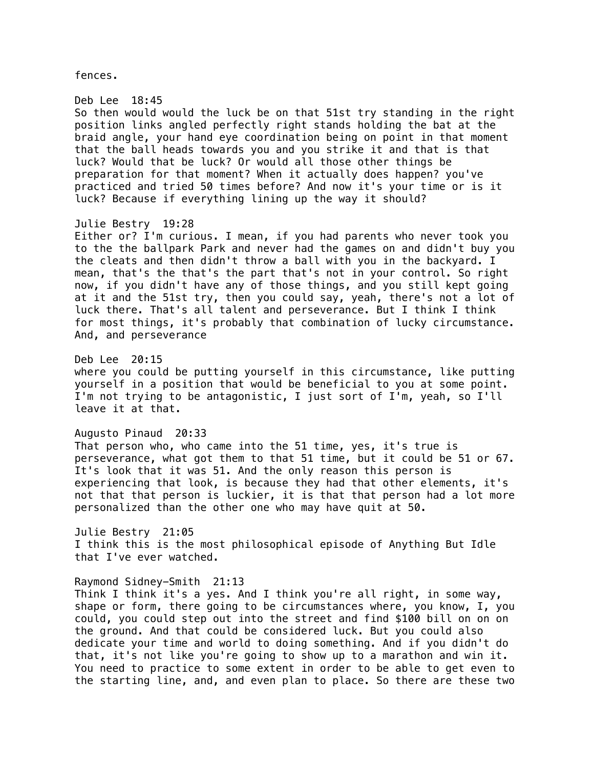fences.

Deb Lee 18:45 So then would would the luck be on that 51st try standing in the right position links angled perfectly right stands holding the bat at the braid angle, your hand eye coordination being on point in that moment that the ball heads towards you and you strike it and that is that luck? Would that be luck? Or would all those other things be preparation for that moment? When it actually does happen? you've practiced and tried 50 times before? And now it's your time or is it luck? Because if everything lining up the way it should?

# Julie Bestry 19:28

Either or? I'm curious. I mean, if you had parents who never took you to the the ballpark Park and never had the games on and didn't buy you the cleats and then didn't throw a ball with you in the backyard. I mean, that's the that's the part that's not in your control. So right now, if you didn't have any of those things, and you still kept going at it and the 51st try, then you could say, yeah, there's not a lot of luck there. That's all talent and perseverance. But I think I think for most things, it's probably that combination of lucky circumstance. And, and perseverance

Deb Lee 20:15

where you could be putting yourself in this circumstance, like putting yourself in a position that would be beneficial to you at some point. I'm not trying to be antagonistic, I just sort of I'm, yeah, so I'll leave it at that.

Augusto Pinaud 20:33

That person who, who came into the 51 time, yes, it's true is perseverance, what got them to that 51 time, but it could be 51 or 67. It's look that it was 51. And the only reason this person is experiencing that look, is because they had that other elements, it's not that that person is luckier, it is that that person had a lot more personalized than the other one who may have quit at 50.

Julie Bestry 21:05 I think this is the most philosophical episode of Anything But Idle that I've ever watched.

### Raymond Sidney-Smith 21:13

Think I think it's a yes. And I think you're all right, in some way, shape or form, there going to be circumstances where, you know, I, you could, you could step out into the street and find \$100 bill on on on the ground. And that could be considered luck. But you could also dedicate your time and world to doing something. And if you didn't do that, it's not like you're going to show up to a marathon and win it. You need to practice to some extent in order to be able to get even to the starting line, and, and even plan to place. So there are these two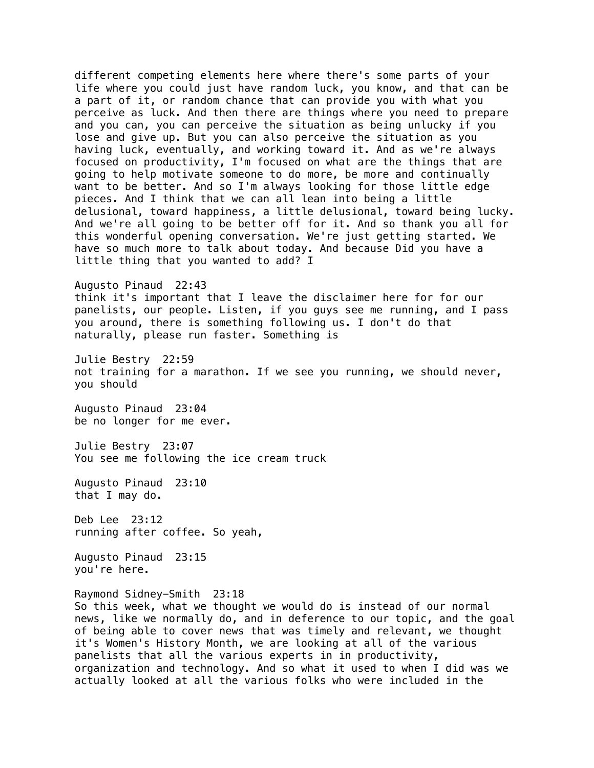different competing elements here where there's some parts of your life where you could just have random luck, you know, and that can be a part of it, or random chance that can provide you with what you perceive as luck. And then there are things where you need to prepare and you can, you can perceive the situation as being unlucky if you lose and give up. But you can also perceive the situation as you having luck, eventually, and working toward it. And as we're always focused on productivity, I'm focused on what are the things that are going to help motivate someone to do more, be more and continually want to be better. And so I'm always looking for those little edge pieces. And I think that we can all lean into being a little delusional, toward happiness, a little delusional, toward being lucky. And we're all going to be better off for it. And so thank you all for this wonderful opening conversation. We're just getting started. We have so much more to talk about today. And because Did you have a little thing that you wanted to add? I

Augusto Pinaud 22:43 think it's important that I leave the disclaimer here for for our panelists, our people. Listen, if you guys see me running, and I pass you around, there is something following us. I don't do that naturally, please run faster. Something is

Julie Bestry 22:59 not training for a marathon. If we see you running, we should never, you should

Augusto Pinaud 23:04 be no longer for me ever.

Julie Bestry 23:07 You see me following the ice cream truck

Augusto Pinaud 23:10 that I may do.

Deb Lee 23:12 running after coffee. So yeah,

Augusto Pinaud 23:15 you're here.

### Raymond Sidney-Smith 23:18

So this week, what we thought we would do is instead of our normal news, like we normally do, and in deference to our topic, and the goal of being able to cover news that was timely and relevant, we thought it's Women's History Month, we are looking at all of the various panelists that all the various experts in in productivity, organization and technology. And so what it used to when I did was we actually looked at all the various folks who were included in the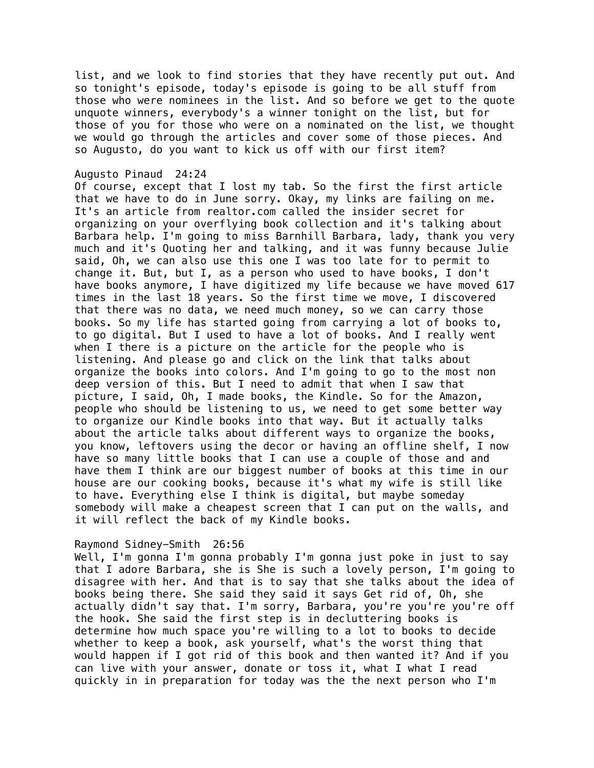list, and we look to find stories that they have recently put out. And so tonight's episode, today's episode is going to be all stuff from those who were nominees in the list. And so before we get to the quote unquote winners, everybody's a winner tonight on the list, but for those of you for those who were on a nominated on the list, we thought we would go through the articles and cover some of those pieces. And so Augusto, do you want to kick us off with our first item?

### Augusto Pinaud 24:24

Of course, except that I lost my tab. So the first the first article that we have to do in June sorry. Okay, my links are failing on me. It's an article from realtor.com called the insider secret for organizing on your overflying book collection and it's talking about Barbara help. I'm going to miss Barnhill Barbara, lady, thank you very much and it's Quoting her and talking, and it was funny because Julie said, Oh, we can also use this one I was too late for to permit to change it. But, but I, as a person who used to have books, I don't have books anymore, I have digitized my life because we have moved 617 times in the last 18 years. So the first time we move, I discovered that there was no data, we need much money, so we can carry those books. So my life has started going from carrying a lot of books to, to go digital. But I used to have a lot of books. And I really went when I there is a picture on the article for the people who is listening. And please go and click on the link that talks about organize the books into colors. And I'm going to go to the most non deep version of this. But I need to admit that when I saw that picture, I said, Oh, I made books, the Kindle. So for the Amazon, people who should be listening to us, we need to get some better way to organize our Kindle books into that way. But it actually talks about the article talks about different ways to organize the books, you know, leftovers using the decor or having an offline shelf, I now have so many little books that I can use a couple of those and and have them I think are our biggest number of books at this time in our house are our cooking books, because it's what my wife is still like to have. Everything else I think is digital, but maybe someday somebody will make a cheapest screen that I can put on the walls, and it will reflect the back of my Kindle books.

### Raymond Sidney-Smith 26:56

Well, I'm gonna I'm gonna probably I'm gonna just poke in just to say that I adore Barbara, she is She is such a lovely person, I'm going to disagree with her. And that is to say that she talks about the idea of books being there. She said they said it says Get rid of, Oh, she actually didn't say that. I'm sorry, Barbara, you're you're you're off the hook. She said the first step is in decluttering books is determine how much space you're willing to a lot to books to decide whether to keep a book, ask yourself, what's the worst thing that would happen if I got rid of this book and then wanted it? And if you can live with your answer, donate or toss it, what I what I read quickly in in preparation for today was the the next person who I'm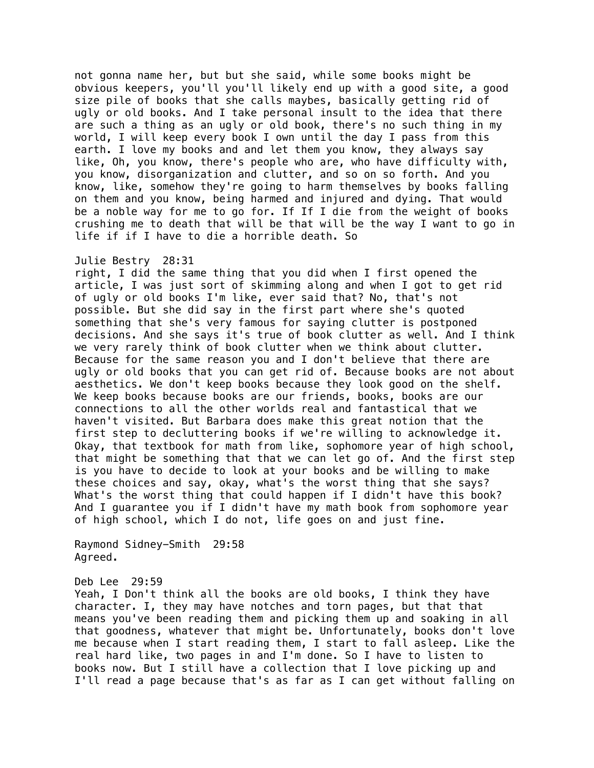not gonna name her, but but she said, while some books might be obvious keepers, you'll you'll likely end up with a good site, a good size pile of books that she calls maybes, basically getting rid of ugly or old books. And I take personal insult to the idea that there are such a thing as an ugly or old book, there's no such thing in my world, I will keep every book I own until the day I pass from this earth. I love my books and and let them you know, they always say like, Oh, you know, there's people who are, who have difficulty with, you know, disorganization and clutter, and so on so forth. And you know, like, somehow they're going to harm themselves by books falling on them and you know, being harmed and injured and dying. That would be a noble way for me to go for. If If I die from the weight of books crushing me to death that will be that will be the way I want to go in life if if I have to die a horrible death. So

### Julie Bestry 28:31

right, I did the same thing that you did when I first opened the article, I was just sort of skimming along and when I got to get rid of ugly or old books I'm like, ever said that? No, that's not possible. But she did say in the first part where she's quoted something that she's very famous for saying clutter is postponed decisions. And she says it's true of book clutter as well. And I think we very rarely think of book clutter when we think about clutter. Because for the same reason you and I don't believe that there are ugly or old books that you can get rid of. Because books are not about aesthetics. We don't keep books because they look good on the shelf. We keep books because books are our friends, books, books are our connections to all the other worlds real and fantastical that we haven't visited. But Barbara does make this great notion that the first step to decluttering books if we're willing to acknowledge it. Okay, that textbook for math from like, sophomore year of high school, that might be something that that we can let go of. And the first step is you have to decide to look at your books and be willing to make these choices and say, okay, what's the worst thing that she says? What's the worst thing that could happen if I didn't have this book? And I guarantee you if I didn't have my math book from sophomore year of high school, which I do not, life goes on and just fine.

Raymond Sidney-Smith 29:58 Agreed.

Deb Lee 29:59

Yeah, I Don't think all the books are old books, I think they have character. I, they may have notches and torn pages, but that that means you've been reading them and picking them up and soaking in all that goodness, whatever that might be. Unfortunately, books don't love me because when I start reading them, I start to fall asleep. Like the real hard like, two pages in and I'm done. So I have to listen to books now. But I still have a collection that I love picking up and I'll read a page because that's as far as I can get without falling on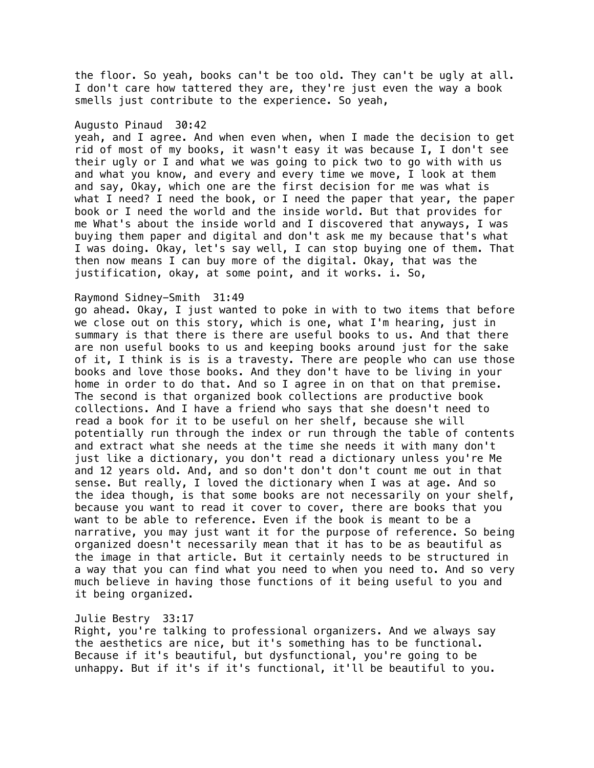the floor. So yeah, books can't be too old. They can't be ugly at all. I don't care how tattered they are, they're just even the way a book smells just contribute to the experience. So yeah,

#### Augusto Pinaud 30:42

yeah, and I agree. And when even when, when I made the decision to get rid of most of my books, it wasn't easy it was because I, I don't see their ugly or I and what we was going to pick two to go with with us and what you know, and every and every time we move, I look at them and say, Okay, which one are the first decision for me was what is what I need? I need the book, or I need the paper that year, the paper book or I need the world and the inside world. But that provides for me What's about the inside world and I discovered that anyways, I was buying them paper and digital and don't ask me my because that's what I was doing. Okay, let's say well, I can stop buying one of them. That then now means I can buy more of the digital. Okay, that was the justification, okay, at some point, and it works. i. So,

## Raymond Sidney-Smith 31:49

go ahead. Okay, I just wanted to poke in with to two items that before we close out on this story, which is one, what I'm hearing, just in summary is that there is there are useful books to us. And that there are non useful books to us and keeping books around just for the sake of it, I think is is is a travesty. There are people who can use those books and love those books. And they don't have to be living in your home in order to do that. And so I agree in on that on that premise. The second is that organized book collections are productive book collections. And I have a friend who says that she doesn't need to read a book for it to be useful on her shelf, because she will potentially run through the index or run through the table of contents and extract what she needs at the time she needs it with many don't just like a dictionary, you don't read a dictionary unless you're Me and 12 years old. And, and so don't don't don't count me out in that sense. But really, I loved the dictionary when I was at age. And so the idea though, is that some books are not necessarily on your shelf, because you want to read it cover to cover, there are books that you want to be able to reference. Even if the book is meant to be a narrative, you may just want it for the purpose of reference. So being organized doesn't necessarily mean that it has to be as beautiful as the image in that article. But it certainly needs to be structured in a way that you can find what you need to when you need to. And so very much believe in having those functions of it being useful to you and it being organized.

### Julie Bestry 33:17

Right, you're talking to professional organizers. And we always say the aesthetics are nice, but it's something has to be functional. Because if it's beautiful, but dysfunctional, you're going to be unhappy. But if it's if it's functional, it'll be beautiful to you.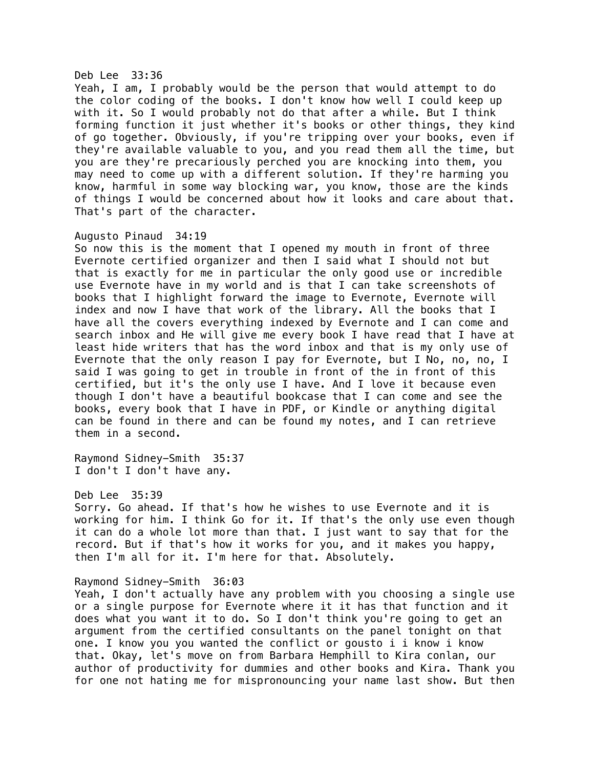### Deb Lee 33:36

Yeah, I am, I probably would be the person that would attempt to do the color coding of the books. I don't know how well I could keep up with it. So I would probably not do that after a while. But I think forming function it just whether it's books or other things, they kind of go together. Obviously, if you're tripping over your books, even if they're available valuable to you, and you read them all the time, but you are they're precariously perched you are knocking into them, you may need to come up with a different solution. If they're harming you know, harmful in some way blocking war, you know, those are the kinds of things I would be concerned about how it looks and care about that. That's part of the character.

# Augusto Pinaud 34:19

So now this is the moment that I opened my mouth in front of three Evernote certified organizer and then I said what I should not but that is exactly for me in particular the only good use or incredible use Evernote have in my world and is that I can take screenshots of books that I highlight forward the image to Evernote, Evernote will index and now I have that work of the library. All the books that I have all the covers everything indexed by Evernote and I can come and search inbox and He will give me every book I have read that I have at least hide writers that has the word inbox and that is my only use of Evernote that the only reason I pay for Evernote, but I No, no, no, I said I was going to get in trouble in front of the in front of this certified, but it's the only use I have. And I love it because even though I don't have a beautiful bookcase that I can come and see the books, every book that I have in PDF, or Kindle or anything digital can be found in there and can be found my notes, and I can retrieve them in a second.

Raymond Sidney-Smith 35:37 I don't I don't have any.

#### Deb Lee 35:39

Sorry. Go ahead. If that's how he wishes to use Evernote and it is working for him. I think Go for it. If that's the only use even though it can do a whole lot more than that. I just want to say that for the record. But if that's how it works for you, and it makes you happy, then I'm all for it. I'm here for that. Absolutely.

## Raymond Sidney-Smith 36:03

Yeah, I don't actually have any problem with you choosing a single use or a single purpose for Evernote where it it has that function and it does what you want it to do. So I don't think you're going to get an argument from the certified consultants on the panel tonight on that one. I know you you wanted the conflict or gousto i i know i know that. Okay, let's move on from Barbara Hemphill to Kira conlan, our author of productivity for dummies and other books and Kira. Thank you for one not hating me for mispronouncing your name last show. But then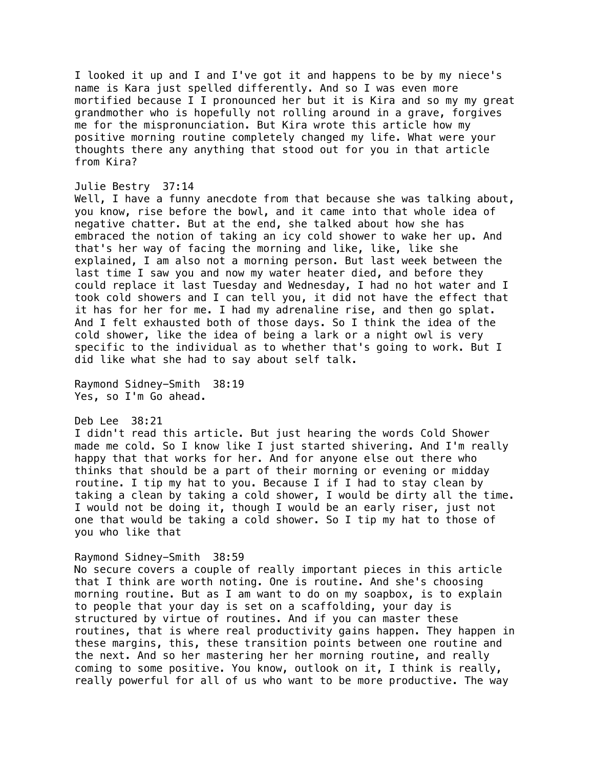I looked it up and I and I've got it and happens to be by my niece's name is Kara just spelled differently. And so I was even more mortified because I I pronounced her but it is Kira and so my my great grandmother who is hopefully not rolling around in a grave, forgives me for the mispronunciation. But Kira wrote this article how my positive morning routine completely changed my life. What were your thoughts there any anything that stood out for you in that article from Kira?

# Julie Bestry 37:14

Well, I have a funny anecdote from that because she was talking about, you know, rise before the bowl, and it came into that whole idea of negative chatter. But at the end, she talked about how she has embraced the notion of taking an icy cold shower to wake her up. And that's her way of facing the morning and like, like, like she explained, I am also not a morning person. But last week between the last time I saw you and now my water heater died, and before they could replace it last Tuesday and Wednesday, I had no hot water and I took cold showers and I can tell you, it did not have the effect that it has for her for me. I had my adrenaline rise, and then go splat. And I felt exhausted both of those days. So I think the idea of the cold shower, like the idea of being a lark or a night owl is very specific to the individual as to whether that's going to work. But I did like what she had to say about self talk.

Raymond Sidney-Smith 38:19 Yes, so I'm Go ahead.

Deb Lee 38:21

I didn't read this article. But just hearing the words Cold Shower made me cold. So I know like I just started shivering. And I'm really happy that that works for her. And for anyone else out there who thinks that should be a part of their morning or evening or midday routine. I tip my hat to you. Because I if I had to stay clean by taking a clean by taking a cold shower, I would be dirty all the time. I would not be doing it, though I would be an early riser, just not one that would be taking a cold shower. So I tip my hat to those of you who like that

# Raymond Sidney-Smith 38:59

No secure covers a couple of really important pieces in this article that I think are worth noting. One is routine. And she's choosing morning routine. But as I am want to do on my soapbox, is to explain to people that your day is set on a scaffolding, your day is structured by virtue of routines. And if you can master these routines, that is where real productivity gains happen. They happen in these margins, this, these transition points between one routine and the next. And so her mastering her her morning routine, and really coming to some positive. You know, outlook on it, I think is really, really powerful for all of us who want to be more productive. The way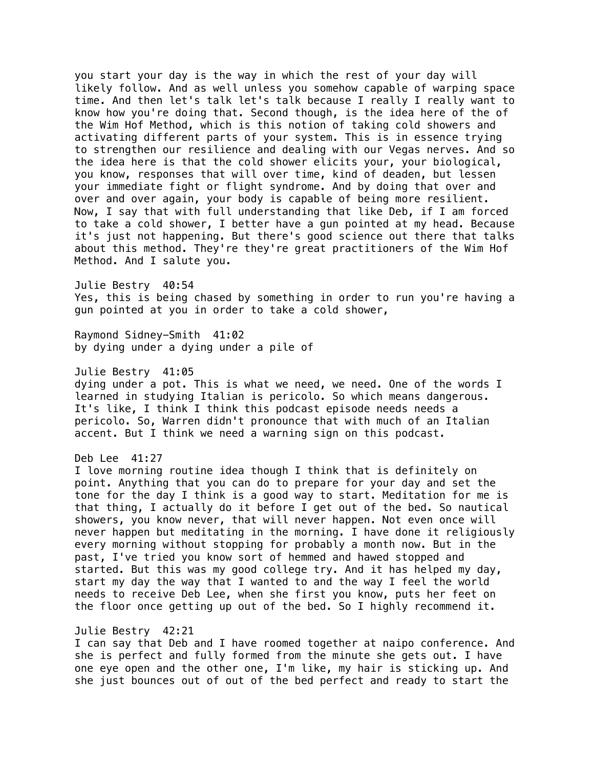you start your day is the way in which the rest of your day will likely follow. And as well unless you somehow capable of warping space time. And then let's talk let's talk because I really I really want to know how you're doing that. Second though, is the idea here of the of the Wim Hof Method, which is this notion of taking cold showers and activating different parts of your system. This is in essence trying to strengthen our resilience and dealing with our Vegas nerves. And so the idea here is that the cold shower elicits your, your biological, you know, responses that will over time, kind of deaden, but lessen your immediate fight or flight syndrome. And by doing that over and over and over again, your body is capable of being more resilient. Now, I say that with full understanding that like Deb, if I am forced to take a cold shower, I better have a gun pointed at my head. Because it's just not happening. But there's good science out there that talks about this method. They're they're great practitioners of the Wim Hof Method. And I salute you.

Julie Bestry 40:54 Yes, this is being chased by something in order to run you're having a gun pointed at you in order to take a cold shower,

Raymond Sidney-Smith 41:02 by dying under a dying under a pile of

Julie Bestry 41:05

dying under a pot. This is what we need, we need. One of the words I learned in studying Italian is pericolo. So which means dangerous. It's like, I think I think this podcast episode needs needs a pericolo. So, Warren didn't pronounce that with much of an Italian accent. But I think we need a warning sign on this podcast.

# Deb Lee 41:27

I love morning routine idea though I think that is definitely on point. Anything that you can do to prepare for your day and set the tone for the day I think is a good way to start. Meditation for me is that thing, I actually do it before I get out of the bed. So nautical showers, you know never, that will never happen. Not even once will never happen but meditating in the morning. I have done it religiously every morning without stopping for probably a month now. But in the past, I've tried you know sort of hemmed and hawed stopped and started. But this was my good college try. And it has helped my day, start my day the way that I wanted to and the way I feel the world needs to receive Deb Lee, when she first you know, puts her feet on the floor once getting up out of the bed. So I highly recommend it.

### Julie Bestry 42:21

I can say that Deb and I have roomed together at naipo conference. And she is perfect and fully formed from the minute she gets out. I have one eye open and the other one, I'm like, my hair is sticking up. And she just bounces out of out of the bed perfect and ready to start the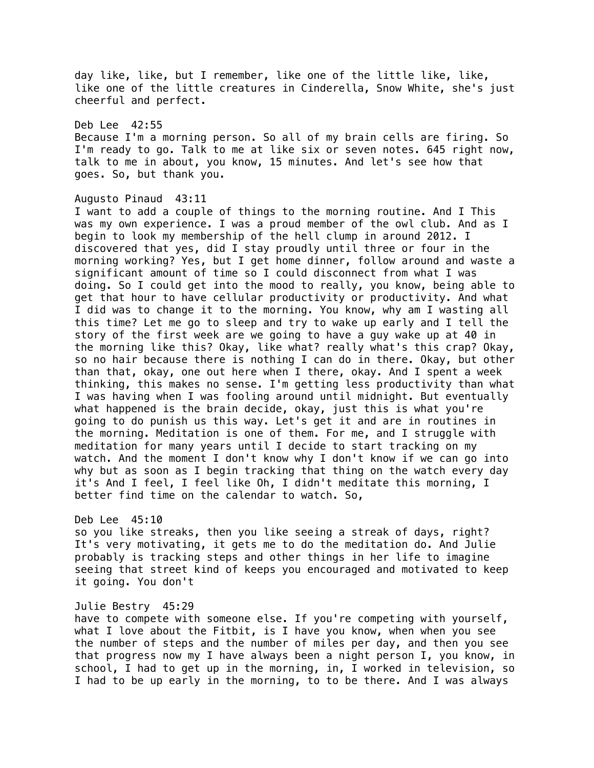day like, like, but I remember, like one of the little like, like, like one of the little creatures in Cinderella, Snow White, she's just cheerful and perfect.

# Deb Lee 42:55

Because I'm a morning person. So all of my brain cells are firing. So I'm ready to go. Talk to me at like six or seven notes. 645 right now, talk to me in about, you know, 15 minutes. And let's see how that goes. So, but thank you.

#### Augusto Pinaud 43:11

I want to add a couple of things to the morning routine. And I This was my own experience. I was a proud member of the owl club. And as I begin to look my membership of the hell clump in around 2012. I discovered that yes, did I stay proudly until three or four in the morning working? Yes, but I get home dinner, follow around and waste a significant amount of time so I could disconnect from what I was doing. So I could get into the mood to really, you know, being able to get that hour to have cellular productivity or productivity. And what I did was to change it to the morning. You know, why am I wasting all this time? Let me go to sleep and try to wake up early and I tell the story of the first week are we going to have a guy wake up at 40 in the morning like this? Okay, like what? really what's this crap? Okay, so no hair because there is nothing I can do in there. Okay, but other than that, okay, one out here when I there, okay. And I spent a week thinking, this makes no sense. I'm getting less productivity than what I was having when I was fooling around until midnight. But eventually what happened is the brain decide, okay, just this is what you're going to do punish us this way. Let's get it and are in routines in the morning. Meditation is one of them. For me, and I struggle with meditation for many years until I decide to start tracking on my watch. And the moment I don't know why I don't know if we can go into why but as soon as I begin tracking that thing on the watch every day it's And I feel, I feel like Oh, I didn't meditate this morning, I better find time on the calendar to watch. So,

## Deb Lee 45:10

so you like streaks, then you like seeing a streak of days, right? It's very motivating, it gets me to do the meditation do. And Julie probably is tracking steps and other things in her life to imagine seeing that street kind of keeps you encouraged and motivated to keep it going. You don't

#### Julie Bestry 45:29

have to compete with someone else. If you're competing with yourself, what I love about the Fitbit, is I have you know, when when you see the number of steps and the number of miles per day, and then you see that progress now my I have always been a night person I, you know, in school, I had to get up in the morning, in, I worked in television, so I had to be up early in the morning, to to be there. And I was always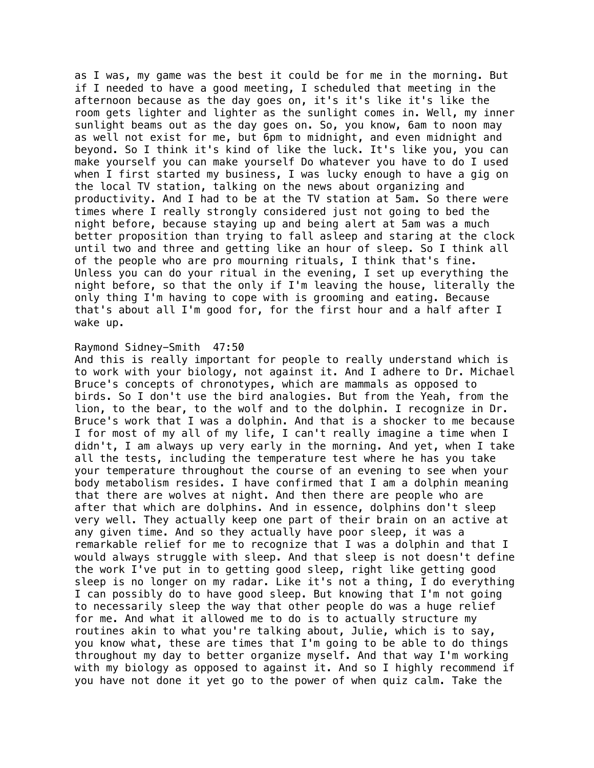as I was, my game was the best it could be for me in the morning. But if I needed to have a good meeting, I scheduled that meeting in the afternoon because as the day goes on, it's it's like it's like the room gets lighter and lighter as the sunlight comes in. Well, my inner sunlight beams out as the day goes on. So, you know, 6am to noon may as well not exist for me, but 6pm to midnight, and even midnight and beyond. So I think it's kind of like the luck. It's like you, you can make yourself you can make yourself Do whatever you have to do I used when I first started my business, I was lucky enough to have a gig on the local TV station, talking on the news about organizing and productivity. And I had to be at the TV station at 5am. So there were times where I really strongly considered just not going to bed the night before, because staying up and being alert at 5am was a much better proposition than trying to fall asleep and staring at the clock until two and three and getting like an hour of sleep. So I think all of the people who are pro mourning rituals, I think that's fine. Unless you can do your ritual in the evening, I set up everything the night before, so that the only if I'm leaving the house, literally the only thing I'm having to cope with is grooming and eating. Because that's about all I'm good for, for the first hour and a half after I wake up.

# Raymond Sidney-Smith 47:50

And this is really important for people to really understand which is to work with your biology, not against it. And I adhere to Dr. Michael Bruce's concepts of chronotypes, which are mammals as opposed to birds. So I don't use the bird analogies. But from the Yeah, from the lion, to the bear, to the wolf and to the dolphin. I recognize in Dr. Bruce's work that I was a dolphin. And that is a shocker to me because I for most of my all of my life, I can't really imagine a time when I didn't, I am always up very early in the morning. And yet, when I take all the tests, including the temperature test where he has you take your temperature throughout the course of an evening to see when your body metabolism resides. I have confirmed that I am a dolphin meaning that there are wolves at night. And then there are people who are after that which are dolphins. And in essence, dolphins don't sleep very well. They actually keep one part of their brain on an active at any given time. And so they actually have poor sleep, it was a remarkable relief for me to recognize that I was a dolphin and that I would always struggle with sleep. And that sleep is not doesn't define the work I've put in to getting good sleep, right like getting good sleep is no longer on my radar. Like it's not a thing, I do everything I can possibly do to have good sleep. But knowing that I'm not going to necessarily sleep the way that other people do was a huge relief for me. And what it allowed me to do is to actually structure my routines akin to what you're talking about, Julie, which is to say, you know what, these are times that I'm going to be able to do things throughout my day to better organize myself. And that way I'm working with my biology as opposed to against it. And so I highly recommend if you have not done it yet go to the power of when quiz calm. Take the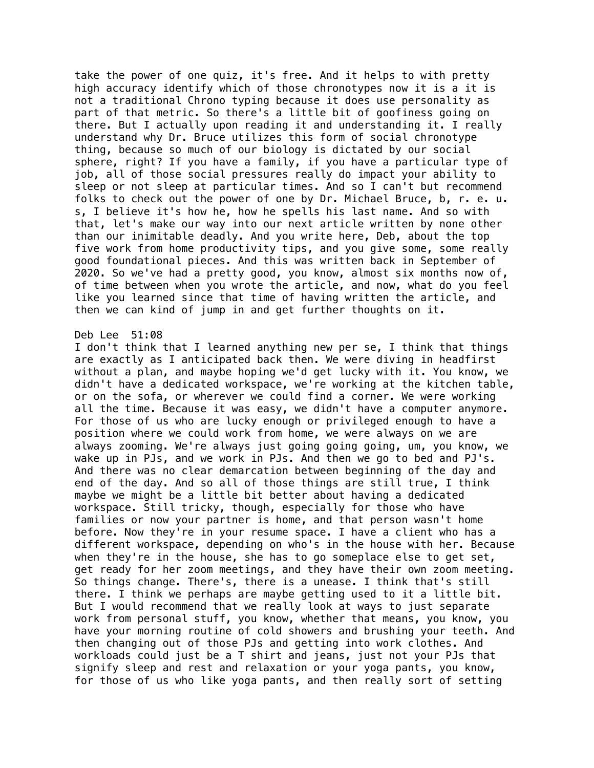take the power of one quiz, it's free. And it helps to with pretty high accuracy identify which of those chronotypes now it is a it is not a traditional Chrono typing because it does use personality as part of that metric. So there's a little bit of goofiness going on there. But I actually upon reading it and understanding it. I really understand why Dr. Bruce utilizes this form of social chronotype thing, because so much of our biology is dictated by our social sphere, right? If you have a family, if you have a particular type of job, all of those social pressures really do impact your ability to sleep or not sleep at particular times. And so I can't but recommend folks to check out the power of one by Dr. Michael Bruce, b, r. e. u. s, I believe it's how he, how he spells his last name. And so with that, let's make our way into our next article written by none other than our inimitable deadly. And you write here, Deb, about the top five work from home productivity tips, and you give some, some really good foundational pieces. And this was written back in September of 2020. So we've had a pretty good, you know, almost six months now of, of time between when you wrote the article, and now, what do you feel like you learned since that time of having written the article, and then we can kind of jump in and get further thoughts on it.

### Deb Lee 51:08

I don't think that I learned anything new per se, I think that things are exactly as I anticipated back then. We were diving in headfirst without a plan, and maybe hoping we'd get lucky with it. You know, we didn't have a dedicated workspace, we're working at the kitchen table, or on the sofa, or wherever we could find a corner. We were working all the time. Because it was easy, we didn't have a computer anymore. For those of us who are lucky enough or privileged enough to have a position where we could work from home, we were always on we are always zooming. We're always just going going going, um, you know, we wake up in PJs, and we work in PJs. And then we go to bed and PJ's. And there was no clear demarcation between beginning of the day and end of the day. And so all of those things are still true, I think maybe we might be a little bit better about having a dedicated workspace. Still tricky, though, especially for those who have families or now your partner is home, and that person wasn't home before. Now they're in your resume space. I have a client who has a different workspace, depending on who's in the house with her. Because when they're in the house, she has to go someplace else to get set, get ready for her zoom meetings, and they have their own zoom meeting. So things change. There's, there is a unease. I think that's still there. I think we perhaps are maybe getting used to it a little bit. But I would recommend that we really look at ways to just separate work from personal stuff, you know, whether that means, you know, you have your morning routine of cold showers and brushing your teeth. And then changing out of those PJs and getting into work clothes. And workloads could just be a T shirt and jeans, just not your PJs that signify sleep and rest and relaxation or your yoga pants, you know, for those of us who like yoga pants, and then really sort of setting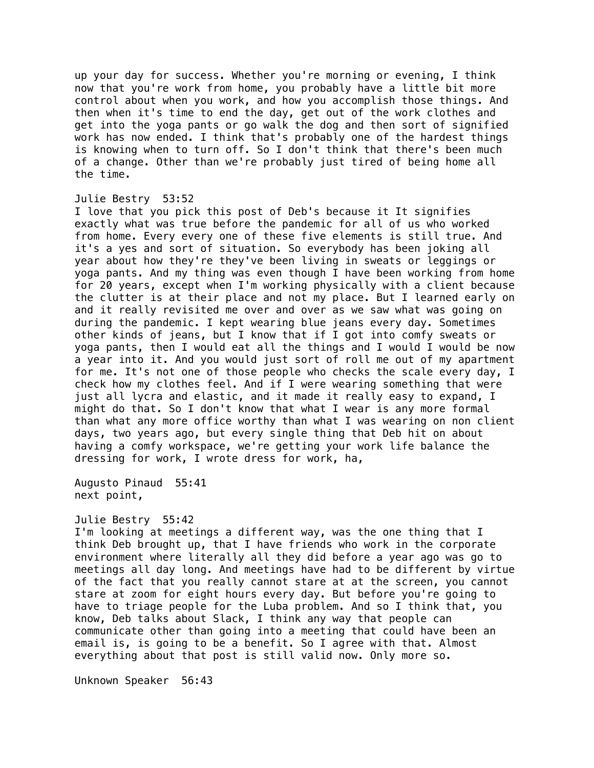up your day for success. Whether you're morning or evening, I think now that you're work from home, you probably have a little bit more control about when you work, and how you accomplish those things. And then when it's time to end the day, get out of the work clothes and get into the yoga pants or go walk the dog and then sort of signified work has now ended. I think that's probably one of the hardest things is knowing when to turn off. So I don't think that there's been much of a change. Other than we're probably just tired of being home all the time.

### Julie Bestry 53:52

I love that you pick this post of Deb's because it It signifies exactly what was true before the pandemic for all of us who worked from home. Every every one of these five elements is still true. And it's a yes and sort of situation. So everybody has been joking all year about how they're they've been living in sweats or leggings or yoga pants. And my thing was even though I have been working from home for 20 years, except when I'm working physically with a client because the clutter is at their place and not my place. But I learned early on and it really revisited me over and over as we saw what was going on during the pandemic. I kept wearing blue jeans every day. Sometimes other kinds of jeans, but I know that if I got into comfy sweats or yoga pants, then I would eat all the things and I would I would be now a year into it. And you would just sort of roll me out of my apartment for me. It's not one of those people who checks the scale every day, I check how my clothes feel. And if I were wearing something that were just all lycra and elastic, and it made it really easy to expand, I might do that. So I don't know that what I wear is any more formal than what any more office worthy than what I was wearing on non client days, two years ago, but every single thing that Deb hit on about having a comfy workspace, we're getting your work life balance the dressing for work, I wrote dress for work, ha,

Augusto Pinaud 55:41 next point,

#### Julie Bestry 55:42

I'm looking at meetings a different way, was the one thing that I think Deb brought up, that I have friends who work in the corporate environment where literally all they did before a year ago was go to meetings all day long. And meetings have had to be different by virtue of the fact that you really cannot stare at at the screen, you cannot stare at zoom for eight hours every day. But before you're going to have to triage people for the Luba problem. And so I think that, you know, Deb talks about Slack, I think any way that people can communicate other than going into a meeting that could have been an email is, is going to be a benefit. So I agree with that. Almost everything about that post is still valid now. Only more so.

Unknown Speaker 56:43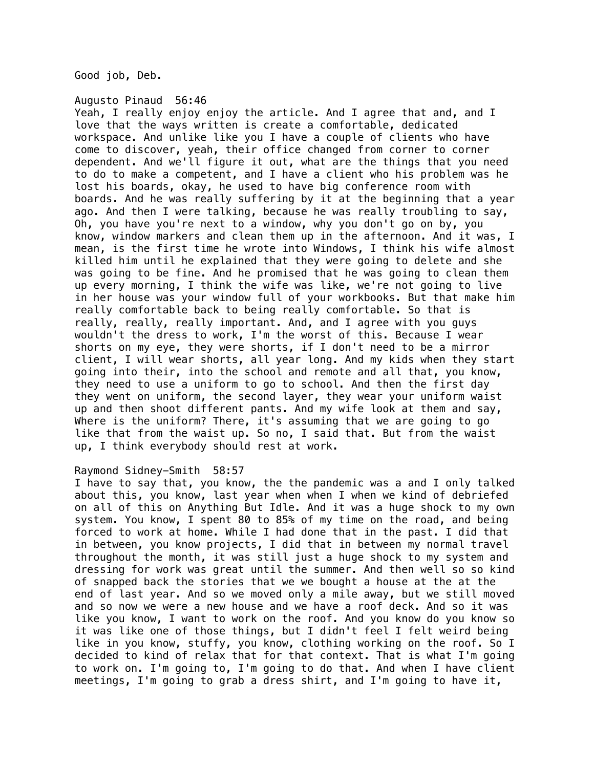Good job, Deb.

# Augusto Pinaud 56:46

Yeah, I really enjoy enjoy the article. And I agree that and, and I love that the ways written is create a comfortable, dedicated workspace. And unlike like you I have a couple of clients who have come to discover, yeah, their office changed from corner to corner dependent. And we'll figure it out, what are the things that you need to do to make a competent, and I have a client who his problem was he lost his boards, okay, he used to have big conference room with boards. And he was really suffering by it at the beginning that a year ago. And then I were talking, because he was really troubling to say, Oh, you have you're next to a window, why you don't go on by, you know, window markers and clean them up in the afternoon. And it was, I mean, is the first time he wrote into Windows, I think his wife almost killed him until he explained that they were going to delete and she was going to be fine. And he promised that he was going to clean them up every morning, I think the wife was like, we're not going to live in her house was your window full of your workbooks. But that make him really comfortable back to being really comfortable. So that is really, really, really important. And, and I agree with you guys wouldn't the dress to work, I'm the worst of this. Because I wear shorts on my eye, they were shorts, if I don't need to be a mirror client, I will wear shorts, all year long. And my kids when they start going into their, into the school and remote and all that, you know, they need to use a uniform to go to school. And then the first day they went on uniform, the second layer, they wear your uniform waist up and then shoot different pants. And my wife look at them and say, Where is the uniform? There, it's assuming that we are going to go like that from the waist up. So no, I said that. But from the waist up, I think everybody should rest at work.

# Raymond Sidney-Smith 58:57

I have to say that, you know, the the pandemic was a and I only talked about this, you know, last year when when I when we kind of debriefed on all of this on Anything But Idle. And it was a huge shock to my own system. You know, I spent 80 to 85% of my time on the road, and being forced to work at home. While I had done that in the past. I did that in between, you know projects, I did that in between my normal travel throughout the month, it was still just a huge shock to my system and dressing for work was great until the summer. And then well so so kind of snapped back the stories that we we bought a house at the at the end of last year. And so we moved only a mile away, but we still moved and so now we were a new house and we have a roof deck. And so it was like you know, I want to work on the roof. And you know do you know so it was like one of those things, but I didn't feel I felt weird being like in you know, stuffy, you know, clothing working on the roof. So I decided to kind of relax that for that context. That is what I'm going to work on. I'm going to, I'm going to do that. And when I have client meetings, I'm going to grab a dress shirt, and I'm going to have it,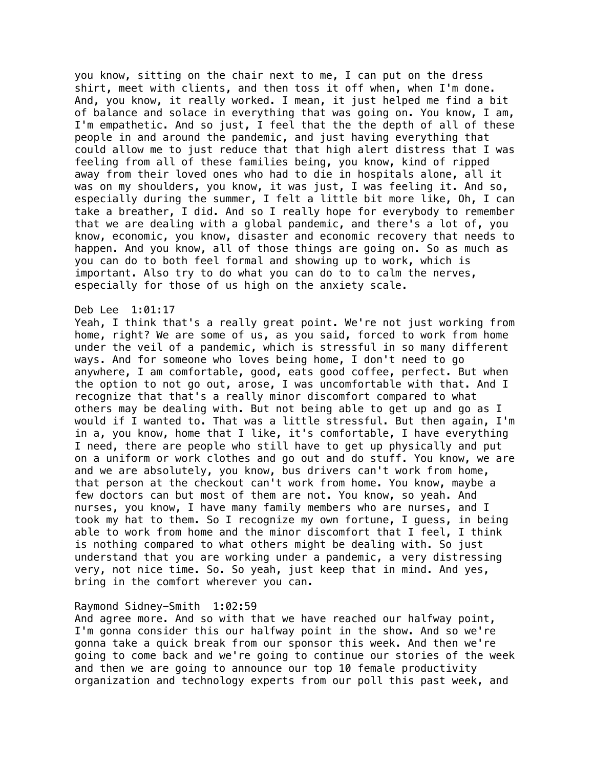you know, sitting on the chair next to me, I can put on the dress shirt, meet with clients, and then toss it off when, when I'm done. And, you know, it really worked. I mean, it just helped me find a bit of balance and solace in everything that was going on. You know, I am, I'm empathetic. And so just, I feel that the the depth of all of these people in and around the pandemic, and just having everything that could allow me to just reduce that that high alert distress that I was feeling from all of these families being, you know, kind of ripped away from their loved ones who had to die in hospitals alone, all it was on my shoulders, you know, it was just, I was feeling it. And so, especially during the summer, I felt a little bit more like, Oh, I can take a breather, I did. And so I really hope for everybody to remember that we are dealing with a global pandemic, and there's a lot of, you know, economic, you know, disaster and economic recovery that needs to happen. And you know, all of those things are going on. So as much as you can do to both feel formal and showing up to work, which is important. Also try to do what you can do to to calm the nerves, especially for those of us high on the anxiety scale.

## Deb Lee 1:01:17

Yeah, I think that's a really great point. We're not just working from home, right? We are some of us, as you said, forced to work from home under the veil of a pandemic, which is stressful in so many different ways. And for someone who loves being home, I don't need to go anywhere, I am comfortable, good, eats good coffee, perfect. But when the option to not go out, arose, I was uncomfortable with that. And I recognize that that's a really minor discomfort compared to what others may be dealing with. But not being able to get up and go as I would if I wanted to. That was a little stressful. But then again, I'm in a, you know, home that I like, it's comfortable, I have everything I need, there are people who still have to get up physically and put on a uniform or work clothes and go out and do stuff. You know, we are and we are absolutely, you know, bus drivers can't work from home, that person at the checkout can't work from home. You know, maybe a few doctors can but most of them are not. You know, so yeah. And nurses, you know, I have many family members who are nurses, and I took my hat to them. So I recognize my own fortune, I guess, in being able to work from home and the minor discomfort that I feel, I think is nothing compared to what others might be dealing with. So just understand that you are working under a pandemic, a very distressing very, not nice time. So. So yeah, just keep that in mind. And yes, bring in the comfort wherever you can.

### Raymond Sidney-Smith 1:02:59

And agree more. And so with that we have reached our halfway point, I'm gonna consider this our halfway point in the show. And so we're gonna take a quick break from our sponsor this week. And then we're going to come back and we're going to continue our stories of the week and then we are going to announce our top 10 female productivity organization and technology experts from our poll this past week, and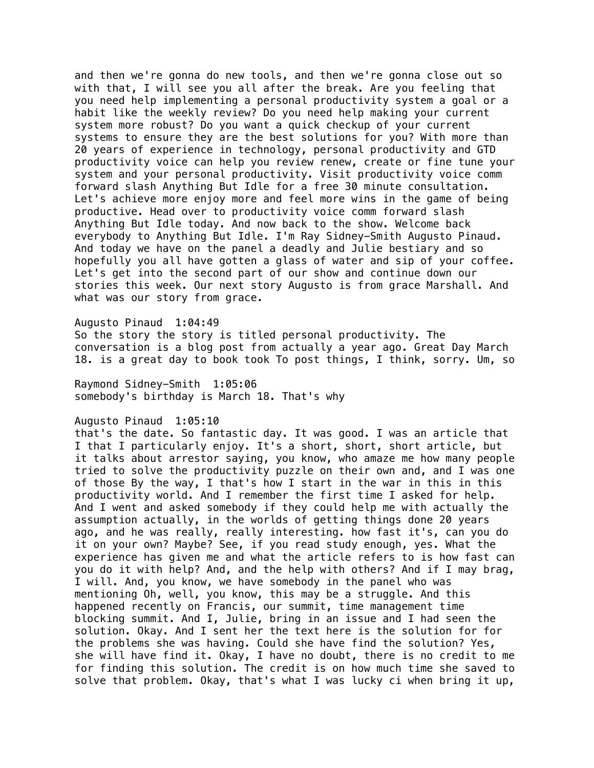and then we're gonna do new tools, and then we're gonna close out so with that, I will see you all after the break. Are you feeling that you need help implementing a personal productivity system a goal or a habit like the weekly review? Do you need help making your current system more robust? Do you want a quick checkup of your current systems to ensure they are the best solutions for you? With more than 20 years of experience in technology, personal productivity and GTD productivity voice can help you review renew, create or fine tune your system and your personal productivity. Visit productivity voice comm forward slash Anything But Idle for a free 30 minute consultation. Let's achieve more enjoy more and feel more wins in the game of being productive. Head over to productivity voice comm forward slash Anything But Idle today. And now back to the show. Welcome back everybody to Anything But Idle. I'm Ray Sidney-Smith Augusto Pinaud. And today we have on the panel a deadly and Julie bestiary and so hopefully you all have gotten a glass of water and sip of your coffee. Let's get into the second part of our show and continue down our stories this week. Our next story Augusto is from grace Marshall. And what was our story from grace.

Augusto Pinaud 1:04:49

So the story the story is titled personal productivity. The conversation is a blog post from actually a year ago. Great Day March 18. is a great day to book took To post things, I think, sorry. Um, so

Raymond Sidney-Smith 1:05:06 somebody's birthday is March 18. That's why

# Augusto Pinaud 1:05:10

that's the date. So fantastic day. It was good. I was an article that I that I particularly enjoy. It's a short, short, short article, but it talks about arrestor saying, you know, who amaze me how many people tried to solve the productivity puzzle on their own and, and I was one of those By the way, I that's how I start in the war in this in this productivity world. And I remember the first time I asked for help. And I went and asked somebody if they could help me with actually the assumption actually, in the worlds of getting things done 20 years ago, and he was really, really interesting. how fast it's, can you do it on your own? Maybe? See, if you read study enough, yes. What the experience has given me and what the article refers to is how fast can you do it with help? And, and the help with others? And if I may brag, I will. And, you know, we have somebody in the panel who was mentioning Oh, well, you know, this may be a struggle. And this happened recently on Francis, our summit, time management time blocking summit. And I, Julie, bring in an issue and I had seen the solution. Okay. And I sent her the text here is the solution for for the problems she was having. Could she have find the solution? Yes, she will have find it. Okay, I have no doubt, there is no credit to me for finding this solution. The credit is on how much time she saved to solve that problem. Okay, that's what I was lucky ci when bring it up,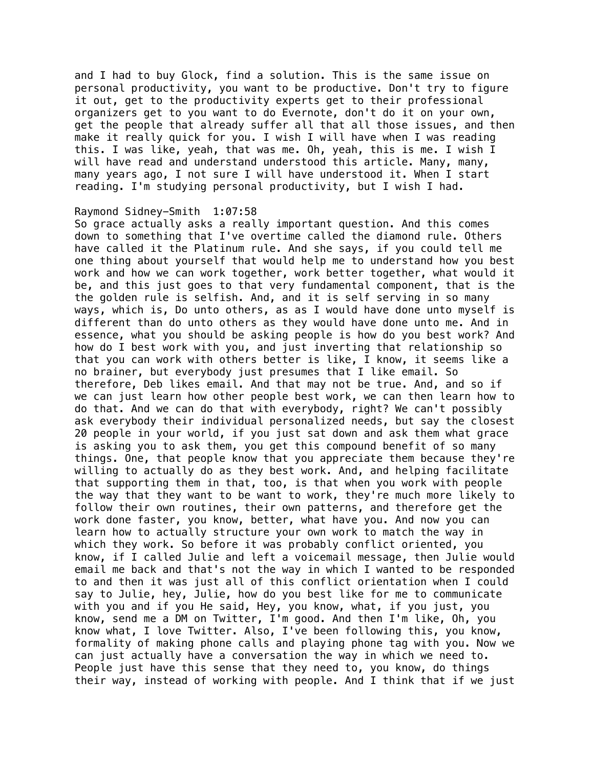and I had to buy Glock, find a solution. This is the same issue on personal productivity, you want to be productive. Don't try to figure it out, get to the productivity experts get to their professional organizers get to you want to do Evernote, don't do it on your own, get the people that already suffer all that all those issues, and then make it really quick for you. I wish I will have when I was reading this. I was like, yeah, that was me. Oh, yeah, this is me. I wish I will have read and understand understood this article. Many, many, many years ago, I not sure I will have understood it. When I start reading. I'm studying personal productivity, but I wish I had.

### Raymond Sidney-Smith 1:07:58

So grace actually asks a really important question. And this comes down to something that I've overtime called the diamond rule. Others have called it the Platinum rule. And she says, if you could tell me one thing about yourself that would help me to understand how you best work and how we can work together, work better together, what would it be, and this just goes to that very fundamental component, that is the the golden rule is selfish. And, and it is self serving in so many ways, which is, Do unto others, as as I would have done unto myself is different than do unto others as they would have done unto me. And in essence, what you should be asking people is how do you best work? And how do I best work with you, and just inverting that relationship so that you can work with others better is like, I know, it seems like a no brainer, but everybody just presumes that I like email. So therefore, Deb likes email. And that may not be true. And, and so if we can just learn how other people best work, we can then learn how to do that. And we can do that with everybody, right? We can't possibly ask everybody their individual personalized needs, but say the closest 20 people in your world, if you just sat down and ask them what grace is asking you to ask them, you get this compound benefit of so many things. One, that people know that you appreciate them because they're willing to actually do as they best work. And, and helping facilitate that supporting them in that, too, is that when you work with people the way that they want to be want to work, they're much more likely to follow their own routines, their own patterns, and therefore get the work done faster, you know, better, what have you. And now you can learn how to actually structure your own work to match the way in which they work. So before it was probably conflict oriented, you know, if I called Julie and left a voicemail message, then Julie would email me back and that's not the way in which I wanted to be responded to and then it was just all of this conflict orientation when I could say to Julie, hey, Julie, how do you best like for me to communicate with you and if you He said, Hey, you know, what, if you just, you know, send me a DM on Twitter, I'm good. And then I'm like, Oh, you know what, I love Twitter. Also, I've been following this, you know, formality of making phone calls and playing phone tag with you. Now we can just actually have a conversation the way in which we need to. People just have this sense that they need to, you know, do things their way, instead of working with people. And I think that if we just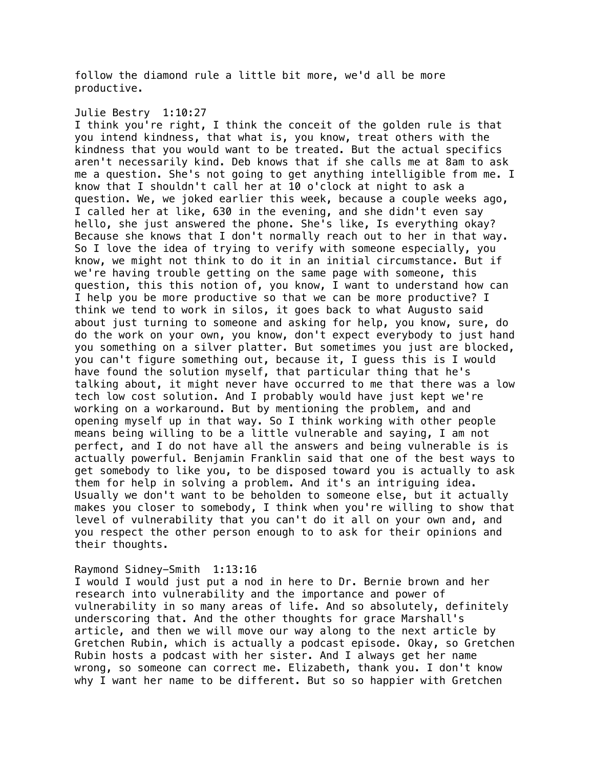follow the diamond rule a little bit more, we'd all be more productive.

# Julie Bestry 1:10:27

I think you're right, I think the conceit of the golden rule is that you intend kindness, that what is, you know, treat others with the kindness that you would want to be treated. But the actual specifics aren't necessarily kind. Deb knows that if she calls me at 8am to ask me a question. She's not going to get anything intelligible from me. I know that I shouldn't call her at 10 o'clock at night to ask a question. We, we joked earlier this week, because a couple weeks ago, I called her at like, 630 in the evening, and she didn't even say hello, she just answered the phone. She's like, Is everything okay? Because she knows that I don't normally reach out to her in that way. So I love the idea of trying to verify with someone especially, you know, we might not think to do it in an initial circumstance. But if we're having trouble getting on the same page with someone, this question, this this notion of, you know, I want to understand how can I help you be more productive so that we can be more productive? I think we tend to work in silos, it goes back to what Augusto said about just turning to someone and asking for help, you know, sure, do do the work on your own, you know, don't expect everybody to just hand you something on a silver platter. But sometimes you just are blocked, you can't figure something out, because it, I guess this is I would have found the solution myself, that particular thing that he's talking about, it might never have occurred to me that there was a low tech low cost solution. And I probably would have just kept we're working on a workaround. But by mentioning the problem, and and opening myself up in that way. So I think working with other people means being willing to be a little vulnerable and saying, I am not perfect, and I do not have all the answers and being vulnerable is is actually powerful. Benjamin Franklin said that one of the best ways to get somebody to like you, to be disposed toward you is actually to ask them for help in solving a problem. And it's an intriguing idea. Usually we don't want to be beholden to someone else, but it actually makes you closer to somebody, I think when you're willing to show that level of vulnerability that you can't do it all on your own and, and you respect the other person enough to to ask for their opinions and their thoughts.

# Raymond Sidney-Smith 1:13:16

I would I would just put a nod in here to Dr. Bernie brown and her research into vulnerability and the importance and power of vulnerability in so many areas of life. And so absolutely, definitely underscoring that. And the other thoughts for grace Marshall's article, and then we will move our way along to the next article by Gretchen Rubin, which is actually a podcast episode. Okay, so Gretchen Rubin hosts a podcast with her sister. And I always get her name wrong, so someone can correct me. Elizabeth, thank you. I don't know why I want her name to be different. But so so happier with Gretchen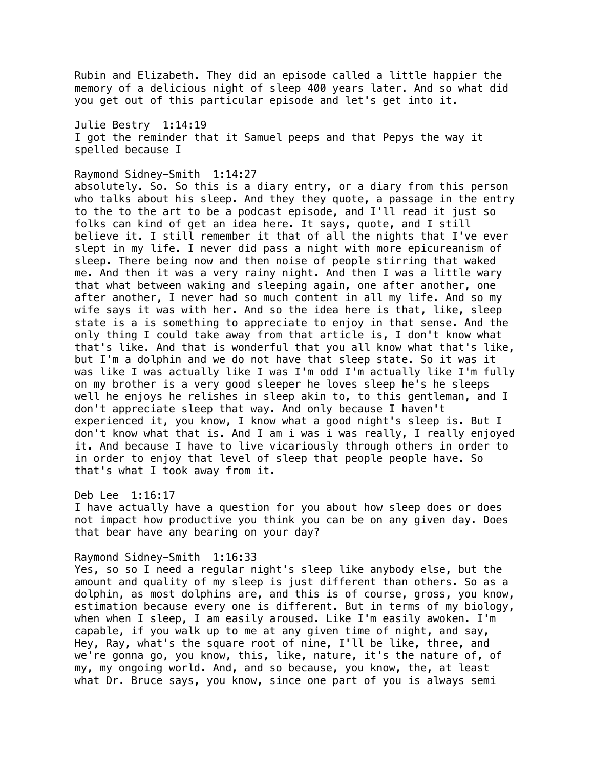Rubin and Elizabeth. They did an episode called a little happier the memory of a delicious night of sleep 400 years later. And so what did you get out of this particular episode and let's get into it.

Julie Bestry 1:14:19 I got the reminder that it Samuel peeps and that Pepys the way it spelled because I

### Raymond Sidney-Smith 1:14:27

absolutely. So. So this is a diary entry, or a diary from this person who talks about his sleep. And they they quote, a passage in the entry to the to the art to be a podcast episode, and I'll read it just so folks can kind of get an idea here. It says, quote, and I still believe it. I still remember it that of all the nights that I've ever slept in my life. I never did pass a night with more epicureanism of sleep. There being now and then noise of people stirring that waked me. And then it was a very rainy night. And then I was a little wary that what between waking and sleeping again, one after another, one after another, I never had so much content in all my life. And so my wife says it was with her. And so the idea here is that, like, sleep state is a is something to appreciate to enjoy in that sense. And the only thing I could take away from that article is, I don't know what that's like. And that is wonderful that you all know what that's like, but I'm a dolphin and we do not have that sleep state. So it was it was like I was actually like I was I'm odd I'm actually like I'm fully on my brother is a very good sleeper he loves sleep he's he sleeps well he enjoys he relishes in sleep akin to, to this gentleman, and I don't appreciate sleep that way. And only because I haven't experienced it, you know, I know what a good night's sleep is. But I don't know what that is. And I am i was i was really, I really enjoyed it. And because I have to live vicariously through others in order to in order to enjoy that level of sleep that people people have. So that's what I took away from it.

Deb Lee 1:16:17

I have actually have a question for you about how sleep does or does not impact how productive you think you can be on any given day. Does that bear have any bearing on your day?

#### Raymond Sidney-Smith 1:16:33

Yes, so so I need a regular night's sleep like anybody else, but the amount and quality of my sleep is just different than others. So as a dolphin, as most dolphins are, and this is of course, gross, you know, estimation because every one is different. But in terms of my biology, when when I sleep, I am easily aroused. Like I'm easily awoken. I'm capable, if you walk up to me at any given time of night, and say, Hey, Ray, what's the square root of nine, I'll be like, three, and we're gonna go, you know, this, like, nature, it's the nature of, of my, my ongoing world. And, and so because, you know, the, at least what Dr. Bruce says, you know, since one part of you is always semi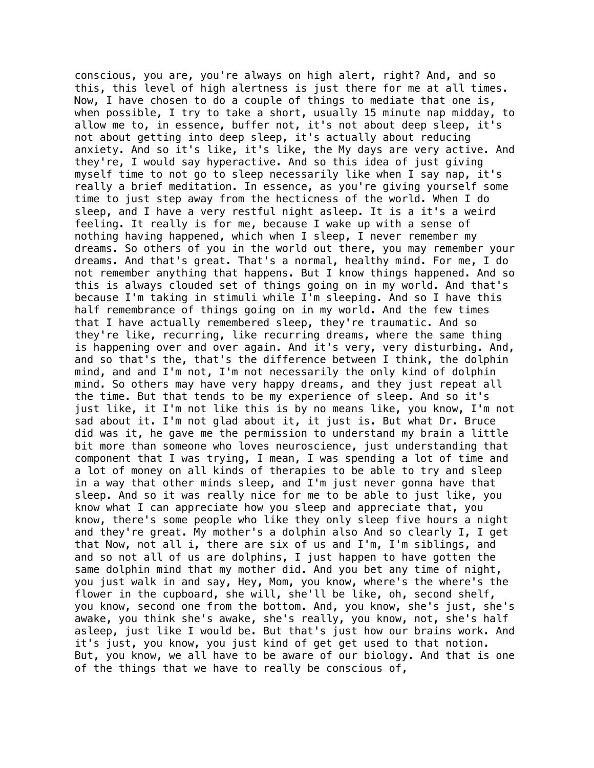conscious, you are, you're always on high alert, right? And, and so this, this level of high alertness is just there for me at all times. Now, I have chosen to do a couple of things to mediate that one is, when possible, I try to take a short, usually 15 minute nap midday, to allow me to, in essence, buffer not, it's not about deep sleep, it's not about getting into deep sleep, it's actually about reducing anxiety. And so it's like, it's like, the My days are very active. And they're, I would say hyperactive. And so this idea of just giving myself time to not go to sleep necessarily like when I say nap, it's really a brief meditation. In essence, as you're giving yourself some time to just step away from the hecticness of the world. When I do sleep, and I have a very restful night asleep. It is a it's a weird feeling. It really is for me, because I wake up with a sense of nothing having happened, which when I sleep, I never remember my dreams. So others of you in the world out there, you may remember your dreams. And that's great. That's a normal, healthy mind. For me, I do not remember anything that happens. But I know things happened. And so this is always clouded set of things going on in my world. And that's because I'm taking in stimuli while I'm sleeping. And so I have this half remembrance of things going on in my world. And the few times that I have actually remembered sleep, they're traumatic. And so they're like, recurring, like recurring dreams, where the same thing is happening over and over again. And it's very, very disturbing. And, and so that's the, that's the difference between I think, the dolphin mind, and and I'm not, I'm not necessarily the only kind of dolphin mind. So others may have very happy dreams, and they just repeat all the time. But that tends to be my experience of sleep. And so it's just like, it I'm not like this is by no means like, you know, I'm not sad about it. I'm not glad about it, it just is. But what Dr. Bruce did was it, he gave me the permission to understand my brain a little bit more than someone who loves neuroscience, just understanding that component that I was trying, I mean, I was spending a lot of time and a lot of money on all kinds of therapies to be able to try and sleep in a way that other minds sleep, and I'm just never gonna have that sleep. And so it was really nice for me to be able to just like, you know what I can appreciate how you sleep and appreciate that, you know, there's some people who like they only sleep five hours a night and they're great. My mother's a dolphin also And so clearly I, I get that Now, not all i, there are six of us and I'm, I'm siblings, and and so not all of us are dolphins, I just happen to have gotten the same dolphin mind that my mother did. And you bet any time of night, you just walk in and say, Hey, Mom, you know, where's the where's the flower in the cupboard, she will, she'll be like, oh, second shelf, you know, second one from the bottom. And, you know, she's just, she's awake, you think she's awake, she's really, you know, not, she's half asleep, just like I would be. But that's just how our brains work. And it's just, you know, you just kind of get get used to that notion. But, you know, we all have to be aware of our biology. And that is one of the things that we have to really be conscious of,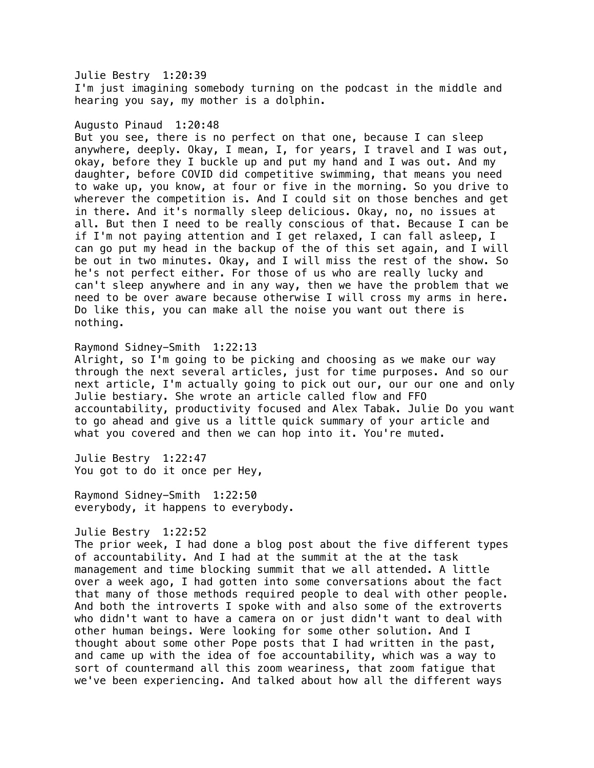# Julie Bestry 1:20:39

I'm just imagining somebody turning on the podcast in the middle and hearing you say, my mother is a dolphin.

## Augusto Pinaud 1:20:48

But you see, there is no perfect on that one, because I can sleep anywhere, deeply. Okay, I mean, I, for years, I travel and I was out, okay, before they I buckle up and put my hand and I was out. And my daughter, before COVID did competitive swimming, that means you need to wake up, you know, at four or five in the morning. So you drive to wherever the competition is. And I could sit on those benches and get in there. And it's normally sleep delicious. Okay, no, no issues at all. But then I need to be really conscious of that. Because I can be if I'm not paying attention and I get relaxed, I can fall asleep, I can go put my head in the backup of the of this set again, and I will be out in two minutes. Okay, and I will miss the rest of the show. So he's not perfect either. For those of us who are really lucky and can't sleep anywhere and in any way, then we have the problem that we need to be over aware because otherwise I will cross my arms in here. Do like this, you can make all the noise you want out there is nothing.

# Raymond Sidney-Smith 1:22:13

Alright, so I'm going to be picking and choosing as we make our way through the next several articles, just for time purposes. And so our next article, I'm actually going to pick out our, our our one and only Julie bestiary. She wrote an article called flow and FFO accountability, productivity focused and Alex Tabak. Julie Do you want to go ahead and give us a little quick summary of your article and what you covered and then we can hop into it. You're muted.

Julie Bestry 1:22:47 You got to do it once per Hey,

Raymond Sidney-Smith 1:22:50 everybody, it happens to everybody.

### Julie Bestry 1:22:52

The prior week, I had done a blog post about the five different types of accountability. And I had at the summit at the at the task management and time blocking summit that we all attended. A little over a week ago, I had gotten into some conversations about the fact that many of those methods required people to deal with other people. And both the introverts I spoke with and also some of the extroverts who didn't want to have a camera on or just didn't want to deal with other human beings. Were looking for some other solution. And I thought about some other Pope posts that I had written in the past, and came up with the idea of foe accountability, which was a way to sort of countermand all this zoom weariness, that zoom fatigue that we've been experiencing. And talked about how all the different ways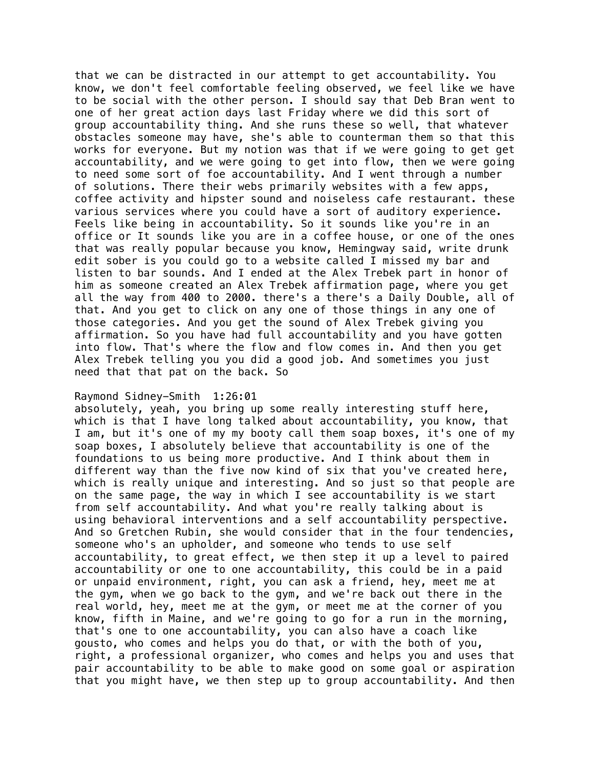that we can be distracted in our attempt to get accountability. You know, we don't feel comfortable feeling observed, we feel like we have to be social with the other person. I should say that Deb Bran went to one of her great action days last Friday where we did this sort of group accountability thing. And she runs these so well, that whatever obstacles someone may have, she's able to counterman them so that this works for everyone. But my notion was that if we were going to get get accountability, and we were going to get into flow, then we were going to need some sort of foe accountability. And I went through a number of solutions. There their webs primarily websites with a few apps, coffee activity and hipster sound and noiseless cafe restaurant. these various services where you could have a sort of auditory experience. Feels like being in accountability. So it sounds like you're in an office or It sounds like you are in a coffee house, or one of the ones that was really popular because you know, Hemingway said, write drunk edit sober is you could go to a website called I missed my bar and listen to bar sounds. And I ended at the Alex Trebek part in honor of him as someone created an Alex Trebek affirmation page, where you get all the way from 400 to 2000. there's a there's a Daily Double, all of that. And you get to click on any one of those things in any one of those categories. And you get the sound of Alex Trebek giving you affirmation. So you have had full accountability and you have gotten into flow. That's where the flow and flow comes in. And then you get Alex Trebek telling you you did a good job. And sometimes you just need that that pat on the back. So

# Raymond Sidney-Smith 1:26:01

absolutely, yeah, you bring up some really interesting stuff here, which is that I have long talked about accountability, you know, that I am, but it's one of my my booty call them soap boxes, it's one of my soap boxes, I absolutely believe that accountability is one of the foundations to us being more productive. And I think about them in different way than the five now kind of six that you've created here, which is really unique and interesting. And so just so that people are on the same page, the way in which I see accountability is we start from self accountability. And what you're really talking about is using behavioral interventions and a self accountability perspective. And so Gretchen Rubin, she would consider that in the four tendencies, someone who's an upholder, and someone who tends to use self accountability, to great effect, we then step it up a level to paired accountability or one to one accountability, this could be in a paid or unpaid environment, right, you can ask a friend, hey, meet me at the gym, when we go back to the gym, and we're back out there in the real world, hey, meet me at the gym, or meet me at the corner of you know, fifth in Maine, and we're going to go for a run in the morning, that's one to one accountability, you can also have a coach like gousto, who comes and helps you do that, or with the both of you, right, a professional organizer, who comes and helps you and uses that pair accountability to be able to make good on some goal or aspiration that you might have, we then step up to group accountability. And then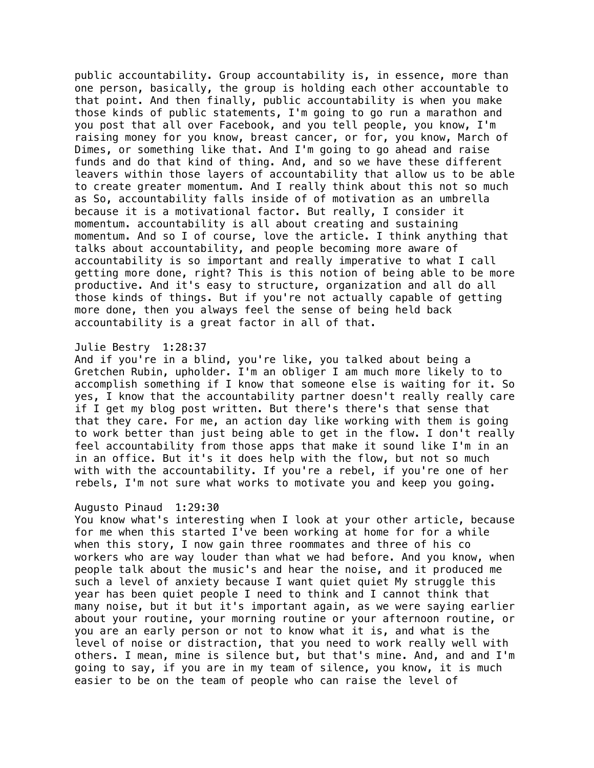public accountability. Group accountability is, in essence, more than one person, basically, the group is holding each other accountable to that point. And then finally, public accountability is when you make those kinds of public statements, I'm going to go run a marathon and you post that all over Facebook, and you tell people, you know, I'm raising money for you know, breast cancer, or for, you know, March of Dimes, or something like that. And I'm going to go ahead and raise funds and do that kind of thing. And, and so we have these different leavers within those layers of accountability that allow us to be able to create greater momentum. And I really think about this not so much as So, accountability falls inside of of motivation as an umbrella because it is a motivational factor. But really, I consider it momentum. accountability is all about creating and sustaining momentum. And so I of course, love the article. I think anything that talks about accountability, and people becoming more aware of accountability is so important and really imperative to what I call getting more done, right? This is this notion of being able to be more productive. And it's easy to structure, organization and all do all those kinds of things. But if you're not actually capable of getting more done, then you always feel the sense of being held back accountability is a great factor in all of that.

# Julie Bestry 1:28:37

And if you're in a blind, you're like, you talked about being a Gretchen Rubin, upholder. I'm an obliger I am much more likely to to accomplish something if I know that someone else is waiting for it. So yes, I know that the accountability partner doesn't really really care if I get my blog post written. But there's there's that sense that that they care. For me, an action day like working with them is going to work better than just being able to get in the flow. I don't really feel accountability from those apps that make it sound like I'm in an in an office. But it's it does help with the flow, but not so much with with the accountability. If you're a rebel, if you're one of her rebels, I'm not sure what works to motivate you and keep you going.

# Augusto Pinaud 1:29:30

You know what's interesting when I look at your other article, because for me when this started I've been working at home for for a while when this story, I now gain three roommates and three of his co workers who are way louder than what we had before. And you know, when people talk about the music's and hear the noise, and it produced me such a level of anxiety because I want quiet quiet My struggle this year has been quiet people I need to think and I cannot think that many noise, but it but it's important again, as we were saying earlier about your routine, your morning routine or your afternoon routine, or you are an early person or not to know what it is, and what is the level of noise or distraction, that you need to work really well with others. I mean, mine is silence but, but that's mine. And, and and I'm going to say, if you are in my team of silence, you know, it is much easier to be on the team of people who can raise the level of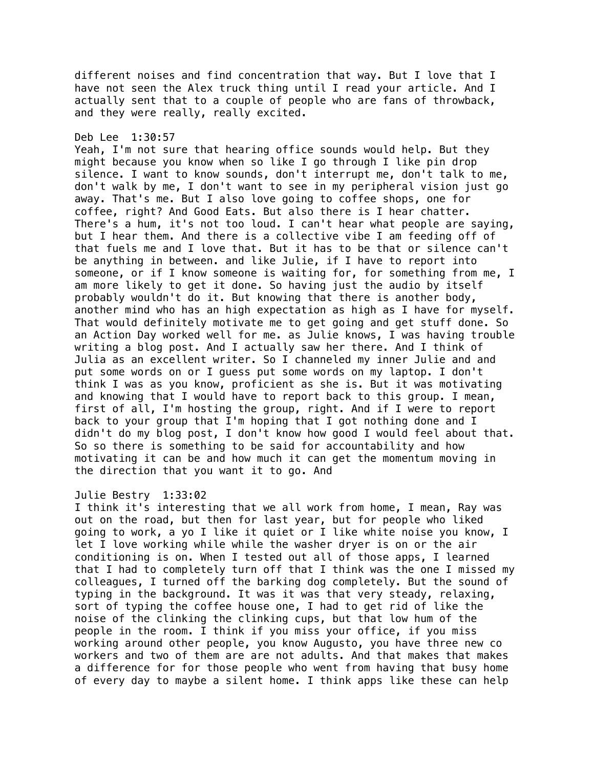different noises and find concentration that way. But I love that I have not seen the Alex truck thing until I read your article. And I actually sent that to a couple of people who are fans of throwback, and they were really, really excited.

## Deb Lee 1:30:57

Yeah, I'm not sure that hearing office sounds would help. But they might because you know when so like I go through I like pin drop silence. I want to know sounds, don't interrupt me, don't talk to me, don't walk by me, I don't want to see in my peripheral vision just go away. That's me. But I also love going to coffee shops, one for coffee, right? And Good Eats. But also there is I hear chatter. There's a hum, it's not too loud. I can't hear what people are saying, but I hear them. And there is a collective vibe I am feeding off of that fuels me and I love that. But it has to be that or silence can't be anything in between. and like Julie, if I have to report into someone, or if I know someone is waiting for, for something from me, I am more likely to get it done. So having just the audio by itself probably wouldn't do it. But knowing that there is another body, another mind who has an high expectation as high as I have for myself. That would definitely motivate me to get going and get stuff done. So an Action Day worked well for me. as Julie knows, I was having trouble writing a blog post. And I actually saw her there. And I think of Julia as an excellent writer. So I channeled my inner Julie and and put some words on or I guess put some words on my laptop. I don't think I was as you know, proficient as she is. But it was motivating and knowing that I would have to report back to this group. I mean, first of all, I'm hosting the group, right. And if I were to report back to your group that I'm hoping that I got nothing done and I didn't do my blog post, I don't know how good I would feel about that. So so there is something to be said for accountability and how motivating it can be and how much it can get the momentum moving in the direction that you want it to go. And

## Julie Bestry 1:33:02

I think it's interesting that we all work from home, I mean, Ray was out on the road, but then for last year, but for people who liked going to work, a yo I like it quiet or I like white noise you know, I let I love working while while the washer dryer is on or the air conditioning is on. When I tested out all of those apps, I learned that I had to completely turn off that I think was the one I missed my colleagues, I turned off the barking dog completely. But the sound of typing in the background. It was it was that very steady, relaxing, sort of typing the coffee house one, I had to get rid of like the noise of the clinking the clinking cups, but that low hum of the people in the room. I think if you miss your office, if you miss working around other people, you know Augusto, you have three new co workers and two of them are are not adults. And that makes that makes a difference for for those people who went from having that busy home of every day to maybe a silent home. I think apps like these can help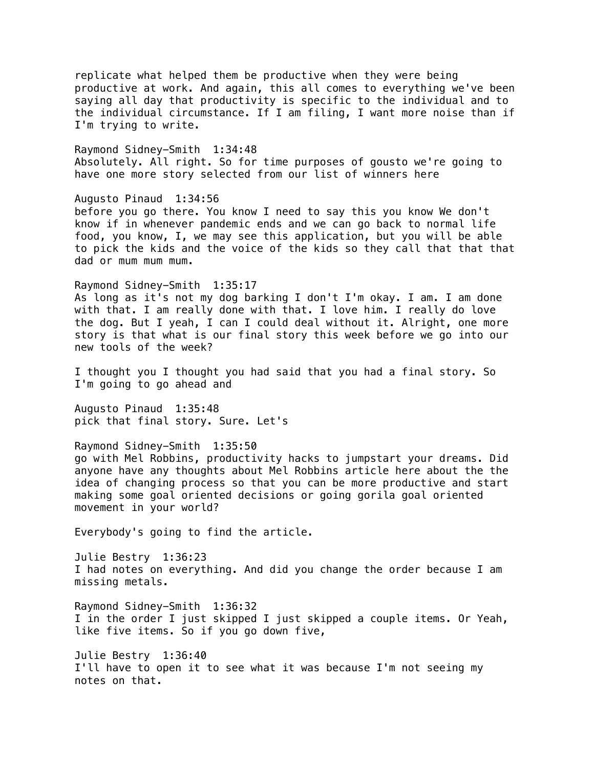replicate what helped them be productive when they were being productive at work. And again, this all comes to everything we've been saying all day that productivity is specific to the individual and to the individual circumstance. If I am filing, I want more noise than if I'm trying to write.

Raymond Sidney-Smith 1:34:48 Absolutely. All right. So for time purposes of gousto we're going to have one more story selected from our list of winners here

Augusto Pinaud 1:34:56 before you go there. You know I need to say this you know We don't know if in whenever pandemic ends and we can go back to normal life food, you know, I, we may see this application, but you will be able to pick the kids and the voice of the kids so they call that that that dad or mum mum mum.

Raymond Sidney-Smith 1:35:17 As long as it's not my dog barking I don't I'm okay. I am. I am done with that. I am really done with that. I love him. I really do love the dog. But I yeah, I can I could deal without it. Alright, one more story is that what is our final story this week before we go into our new tools of the week?

I thought you I thought you had said that you had a final story. So I'm going to go ahead and

Augusto Pinaud 1:35:48 pick that final story. Sure. Let's

Raymond Sidney-Smith 1:35:50 go with Mel Robbins, productivity hacks to jumpstart your dreams. Did anyone have any thoughts about Mel Robbins article here about the the idea of changing process so that you can be more productive and start making some goal oriented decisions or going gorila goal oriented movement in your world?

Everybody's going to find the article.

Julie Bestry 1:36:23 I had notes on everything. And did you change the order because I am missing metals.

Raymond Sidney-Smith 1:36:32 I in the order I just skipped I just skipped a couple items. Or Yeah, like five items. So if you go down five,

Julie Bestry 1:36:40 I'll have to open it to see what it was because I'm not seeing my notes on that.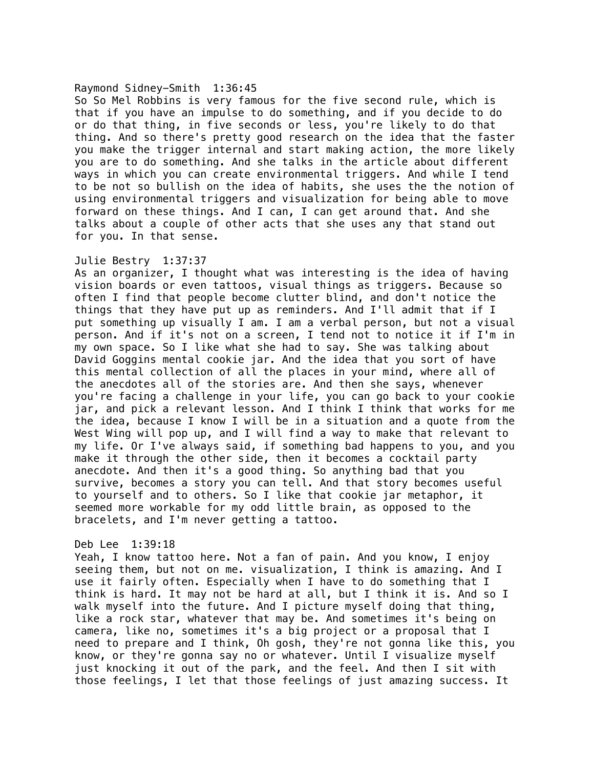#### Raymond Sidney-Smith 1:36:45

So So Mel Robbins is very famous for the five second rule, which is that if you have an impulse to do something, and if you decide to do or do that thing, in five seconds or less, you're likely to do that thing. And so there's pretty good research on the idea that the faster you make the trigger internal and start making action, the more likely you are to do something. And she talks in the article about different ways in which you can create environmental triggers. And while I tend to be not so bullish on the idea of habits, she uses the the notion of using environmental triggers and visualization for being able to move forward on these things. And I can, I can get around that. And she talks about a couple of other acts that she uses any that stand out for you. In that sense.

#### Julie Bestry 1:37:37

As an organizer, I thought what was interesting is the idea of having vision boards or even tattoos, visual things as triggers. Because so often I find that people become clutter blind, and don't notice the things that they have put up as reminders. And I'll admit that if I put something up visually I am. I am a verbal person, but not a visual person. And if it's not on a screen, I tend not to notice it if I'm in my own space. So I like what she had to say. She was talking about David Goggins mental cookie jar. And the idea that you sort of have this mental collection of all the places in your mind, where all of the anecdotes all of the stories are. And then she says, whenever you're facing a challenge in your life, you can go back to your cookie jar, and pick a relevant lesson. And I think I think that works for me the idea, because I know I will be in a situation and a quote from the West Wing will pop up, and I will find a way to make that relevant to my life. Or I've always said, if something bad happens to you, and you make it through the other side, then it becomes a cocktail party anecdote. And then it's a good thing. So anything bad that you survive, becomes a story you can tell. And that story becomes useful to yourself and to others. So I like that cookie jar metaphor, it seemed more workable for my odd little brain, as opposed to the bracelets, and I'm never getting a tattoo.

### Deb Lee 1:39:18

Yeah, I know tattoo here. Not a fan of pain. And you know, I enjoy seeing them, but not on me. visualization, I think is amazing. And I use it fairly often. Especially when I have to do something that I think is hard. It may not be hard at all, but I think it is. And so I walk myself into the future. And I picture myself doing that thing, like a rock star, whatever that may be. And sometimes it's being on camera, like no, sometimes it's a big project or a proposal that I need to prepare and I think, Oh gosh, they're not gonna like this, you know, or they're gonna say no or whatever. Until I visualize myself just knocking it out of the park, and the feel. And then I sit with those feelings, I let that those feelings of just amazing success. It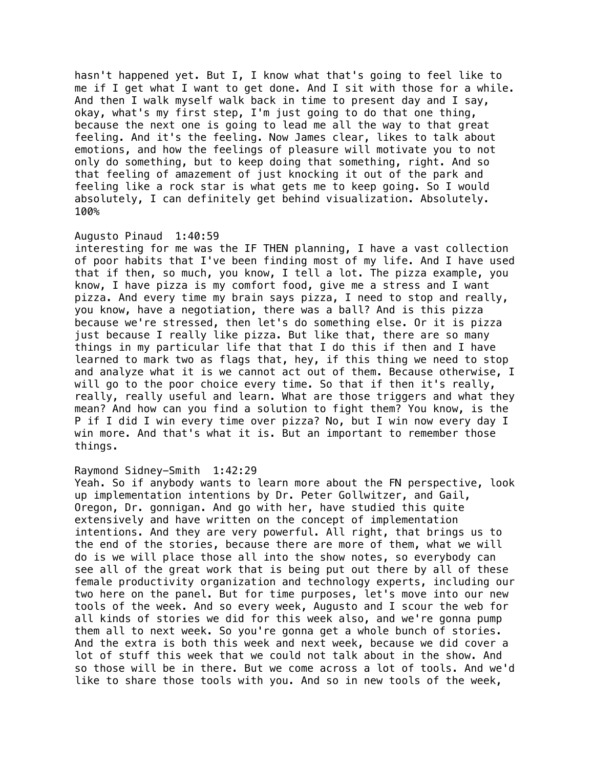hasn't happened yet. But I, I know what that's going to feel like to me if I get what I want to get done. And I sit with those for a while. And then I walk myself walk back in time to present day and I say, okay, what's my first step, I'm just going to do that one thing, because the next one is going to lead me all the way to that great feeling. And it's the feeling. Now James clear, likes to talk about emotions, and how the feelings of pleasure will motivate you to not only do something, but to keep doing that something, right. And so that feeling of amazement of just knocking it out of the park and feeling like a rock star is what gets me to keep going. So I would absolutely, I can definitely get behind visualization. Absolutely. 100%

# Augusto Pinaud 1:40:59

interesting for me was the IF THEN planning, I have a vast collection of poor habits that I've been finding most of my life. And I have used that if then, so much, you know, I tell a lot. The pizza example, you know, I have pizza is my comfort food, give me a stress and I want pizza. And every time my brain says pizza, I need to stop and really, you know, have a negotiation, there was a ball? And is this pizza because we're stressed, then let's do something else. Or it is pizza just because I really like pizza. But like that, there are so many things in my particular life that that I do this if then and I have learned to mark two as flags that, hey, if this thing we need to stop and analyze what it is we cannot act out of them. Because otherwise, I will go to the poor choice every time. So that if then it's really, really, really useful and learn. What are those triggers and what they mean? And how can you find a solution to fight them? You know, is the P if I did I win every time over pizza? No, but I win now every day I win more. And that's what it is. But an important to remember those things.

## Raymond Sidney-Smith 1:42:29

Yeah. So if anybody wants to learn more about the FN perspective, look up implementation intentions by Dr. Peter Gollwitzer, and Gail, Oregon, Dr. gonnigan. And go with her, have studied this quite extensively and have written on the concept of implementation intentions. And they are very powerful. All right, that brings us to the end of the stories, because there are more of them, what we will do is we will place those all into the show notes, so everybody can see all of the great work that is being put out there by all of these female productivity organization and technology experts, including our two here on the panel. But for time purposes, let's move into our new tools of the week. And so every week, Augusto and I scour the web for all kinds of stories we did for this week also, and we're gonna pump them all to next week. So you're gonna get a whole bunch of stories. And the extra is both this week and next week, because we did cover a lot of stuff this week that we could not talk about in the show. And so those will be in there. But we come across a lot of tools. And we'd like to share those tools with you. And so in new tools of the week,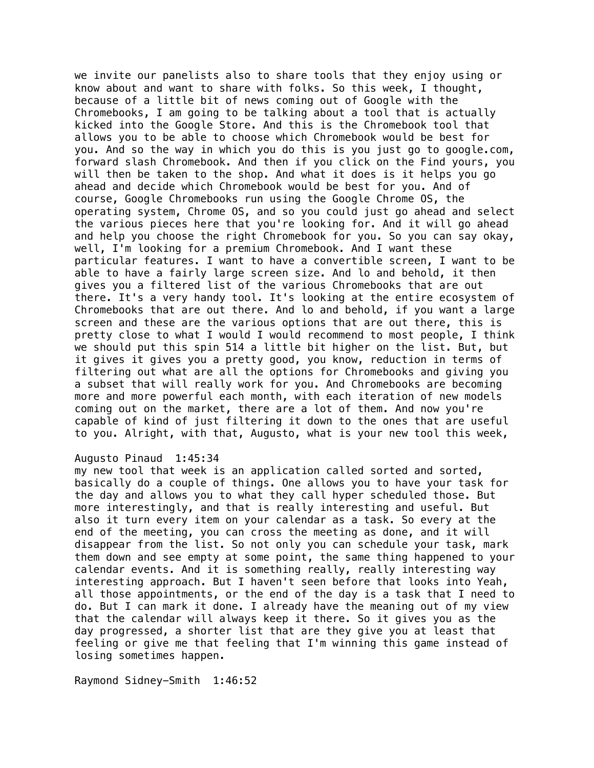we invite our panelists also to share tools that they enjoy using or know about and want to share with folks. So this week, I thought, because of a little bit of news coming out of Google with the Chromebooks, I am going to be talking about a tool that is actually kicked into the Google Store. And this is the Chromebook tool that allows you to be able to choose which Chromebook would be best for you. And so the way in which you do this is you just go to google.com, forward slash Chromebook. And then if you click on the Find yours, you will then be taken to the shop. And what it does is it helps you go ahead and decide which Chromebook would be best for you. And of course, Google Chromebooks run using the Google Chrome OS, the operating system, Chrome OS, and so you could just go ahead and select the various pieces here that you're looking for. And it will go ahead and help you choose the right Chromebook for you. So you can say okay, well, I'm looking for a premium Chromebook. And I want these particular features. I want to have a convertible screen, I want to be able to have a fairly large screen size. And lo and behold, it then gives you a filtered list of the various Chromebooks that are out there. It's a very handy tool. It's looking at the entire ecosystem of Chromebooks that are out there. And lo and behold, if you want a large screen and these are the various options that are out there, this is pretty close to what I would I would recommend to most people, I think we should put this spin 514 a little bit higher on the list. But, but it gives it gives you a pretty good, you know, reduction in terms of filtering out what are all the options for Chromebooks and giving you a subset that will really work for you. And Chromebooks are becoming more and more powerful each month, with each iteration of new models coming out on the market, there are a lot of them. And now you're capable of kind of just filtering it down to the ones that are useful to you. Alright, with that, Augusto, what is your new tool this week,

# Augusto Pinaud 1:45:34

my new tool that week is an application called sorted and sorted, basically do a couple of things. One allows you to have your task for the day and allows you to what they call hyper scheduled those. But more interestingly, and that is really interesting and useful. But also it turn every item on your calendar as a task. So every at the end of the meeting, you can cross the meeting as done, and it will disappear from the list. So not only you can schedule your task, mark them down and see empty at some point, the same thing happened to your calendar events. And it is something really, really interesting way interesting approach. But I haven't seen before that looks into Yeah, all those appointments, or the end of the day is a task that I need to do. But I can mark it done. I already have the meaning out of my view that the calendar will always keep it there. So it gives you as the day progressed, a shorter list that are they give you at least that feeling or give me that feeling that I'm winning this game instead of losing sometimes happen.

Raymond Sidney-Smith 1:46:52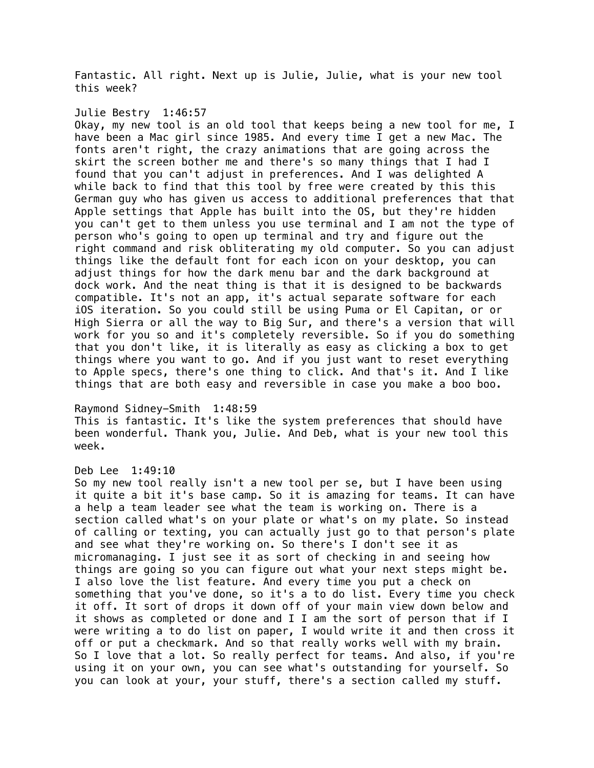Fantastic. All right. Next up is Julie, Julie, what is your new tool this week?

Julie Bestry 1:46:57

Okay, my new tool is an old tool that keeps being a new tool for me, I have been a Mac girl since 1985. And every time I get a new Mac. The fonts aren't right, the crazy animations that are going across the skirt the screen bother me and there's so many things that I had I found that you can't adjust in preferences. And I was delighted A while back to find that this tool by free were created by this this German guy who has given us access to additional preferences that that Apple settings that Apple has built into the OS, but they're hidden you can't get to them unless you use terminal and I am not the type of person who's going to open up terminal and try and figure out the right command and risk obliterating my old computer. So you can adjust things like the default font for each icon on your desktop, you can adjust things for how the dark menu bar and the dark background at dock work. And the neat thing is that it is designed to be backwards compatible. It's not an app, it's actual separate software for each iOS iteration. So you could still be using Puma or El Capitan, or or High Sierra or all the way to Big Sur, and there's a version that will work for you so and it's completely reversible. So if you do something that you don't like, it is literally as easy as clicking a box to get things where you want to go. And if you just want to reset everything to Apple specs, there's one thing to click. And that's it. And I like things that are both easy and reversible in case you make a boo boo.

# Raymond Sidney-Smith 1:48:59

This is fantastic. It's like the system preferences that should have been wonderful. Thank you, Julie. And Deb, what is your new tool this week.

## Deb Lee 1:49:10

So my new tool really isn't a new tool per se, but I have been using it quite a bit it's base camp. So it is amazing for teams. It can have a help a team leader see what the team is working on. There is a section called what's on your plate or what's on my plate. So instead of calling or texting, you can actually just go to that person's plate and see what they're working on. So there's I don't see it as micromanaging. I just see it as sort of checking in and seeing how things are going so you can figure out what your next steps might be. I also love the list feature. And every time you put a check on something that you've done, so it's a to do list. Every time you check it off. It sort of drops it down off of your main view down below and it shows as completed or done and I I am the sort of person that if I were writing a to do list on paper, I would write it and then cross it off or put a checkmark. And so that really works well with my brain. So I love that a lot. So really perfect for teams. And also, if you're using it on your own, you can see what's outstanding for yourself. So you can look at your, your stuff, there's a section called my stuff.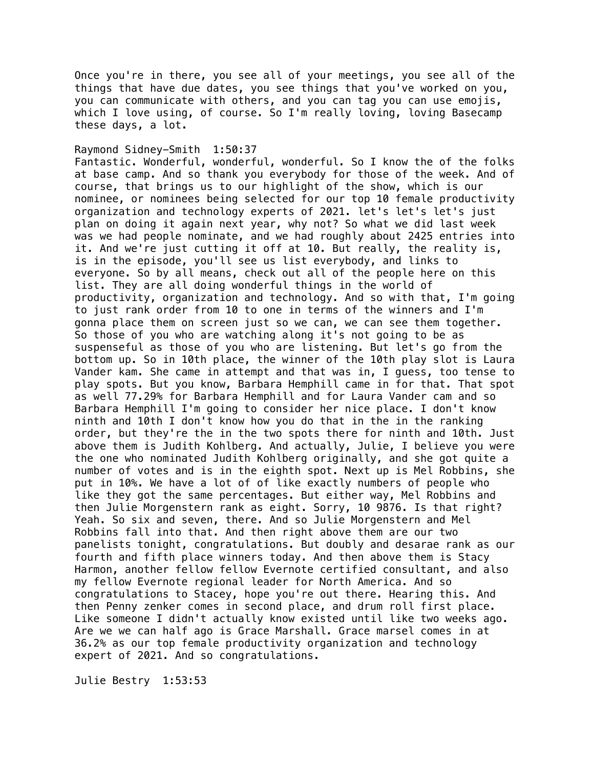Once you're in there, you see all of your meetings, you see all of the things that have due dates, you see things that you've worked on you, you can communicate with others, and you can tag you can use emojis, which I love using, of course. So I'm really loving, loving Basecamp these days, a lot.

## Raymond Sidney-Smith 1:50:37

Fantastic. Wonderful, wonderful, wonderful. So I know the of the folks at base camp. And so thank you everybody for those of the week. And of course, that brings us to our highlight of the show, which is our nominee, or nominees being selected for our top 10 female productivity organization and technology experts of 2021. let's let's let's just plan on doing it again next year, why not? So what we did last week was we had people nominate, and we had roughly about 2425 entries into it. And we're just cutting it off at 10. But really, the reality is, is in the episode, you'll see us list everybody, and links to everyone. So by all means, check out all of the people here on this list. They are all doing wonderful things in the world of productivity, organization and technology. And so with that, I'm going to just rank order from 10 to one in terms of the winners and I'm gonna place them on screen just so we can, we can see them together. So those of you who are watching along it's not going to be as suspenseful as those of you who are listening. But let's go from the bottom up. So in 10th place, the winner of the 10th play slot is Laura Vander kam. She came in attempt and that was in, I guess, too tense to play spots. But you know, Barbara Hemphill came in for that. That spot as well 77.29% for Barbara Hemphill and for Laura Vander cam and so Barbara Hemphill I'm going to consider her nice place. I don't know ninth and 10th I don't know how you do that in the in the ranking order, but they're the in the two spots there for ninth and 10th. Just above them is Judith Kohlberg. And actually, Julie, I believe you were the one who nominated Judith Kohlberg originally, and she got quite a number of votes and is in the eighth spot. Next up is Mel Robbins, she put in 10%. We have a lot of of like exactly numbers of people who like they got the same percentages. But either way, Mel Robbins and then Julie Morgenstern rank as eight. Sorry, 10 9876. Is that right? Yeah. So six and seven, there. And so Julie Morgenstern and Mel Robbins fall into that. And then right above them are our two panelists tonight, congratulations. But doubly and desarae rank as our fourth and fifth place winners today. And then above them is Stacy Harmon, another fellow fellow Evernote certified consultant, and also my fellow Evernote regional leader for North America. And so congratulations to Stacey, hope you're out there. Hearing this. And then Penny zenker comes in second place, and drum roll first place. Like someone I didn't actually know existed until like two weeks ago. Are we we can half ago is Grace Marshall. Grace marsel comes in at 36.2% as our top female productivity organization and technology expert of 2021. And so congratulations.

Julie Bestry 1:53:53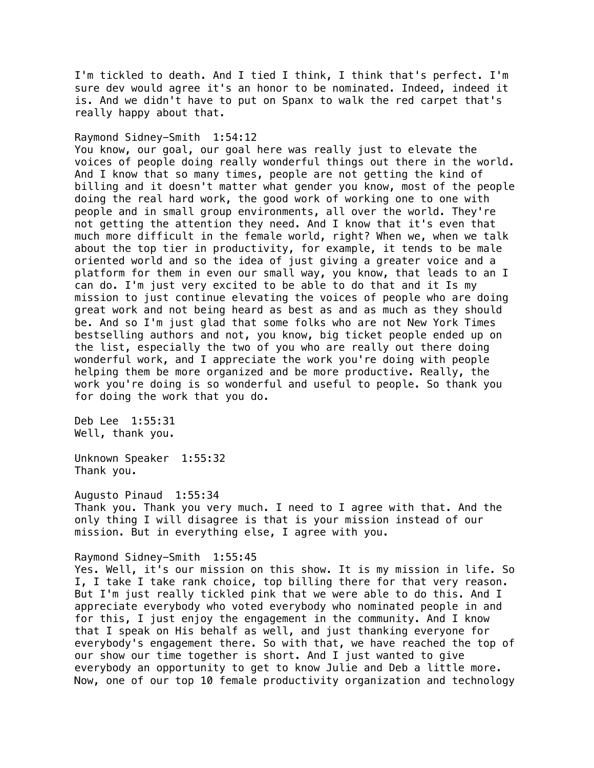I'm tickled to death. And I tied I think, I think that's perfect. I'm sure dev would agree it's an honor to be nominated. Indeed, indeed it is. And we didn't have to put on Spanx to walk the red carpet that's really happy about that.

### Raymond Sidney-Smith 1:54:12

You know, our goal, our goal here was really just to elevate the voices of people doing really wonderful things out there in the world. And I know that so many times, people are not getting the kind of billing and it doesn't matter what gender you know, most of the people doing the real hard work, the good work of working one to one with people and in small group environments, all over the world. They're not getting the attention they need. And I know that it's even that much more difficult in the female world, right? When we, when we talk about the top tier in productivity, for example, it tends to be male oriented world and so the idea of just giving a greater voice and a platform for them in even our small way, you know, that leads to an I can do. I'm just very excited to be able to do that and it Is my mission to just continue elevating the voices of people who are doing great work and not being heard as best as and as much as they should be. And so I'm just glad that some folks who are not New York Times bestselling authors and not, you know, big ticket people ended up on the list, especially the two of you who are really out there doing wonderful work, and I appreciate the work you're doing with people helping them be more organized and be more productive. Really, the work you're doing is so wonderful and useful to people. So thank you for doing the work that you do.

Deb Lee 1:55:31 Well, thank you.

Unknown Speaker 1:55:32 Thank you.

Augusto Pinaud 1:55:34 Thank you. Thank you very much. I need to I agree with that. And the only thing I will disagree is that is your mission instead of our mission. But in everything else, I agree with you.

#### Raymond Sidney-Smith 1:55:45

Yes. Well, it's our mission on this show. It is my mission in life. So I, I take I take rank choice, top billing there for that very reason. But I'm just really tickled pink that we were able to do this. And I appreciate everybody who voted everybody who nominated people in and for this, I just enjoy the engagement in the community. And I know that I speak on His behalf as well, and just thanking everyone for everybody's engagement there. So with that, we have reached the top of our show our time together is short. And I just wanted to give everybody an opportunity to get to know Julie and Deb a little more. Now, one of our top 10 female productivity organization and technology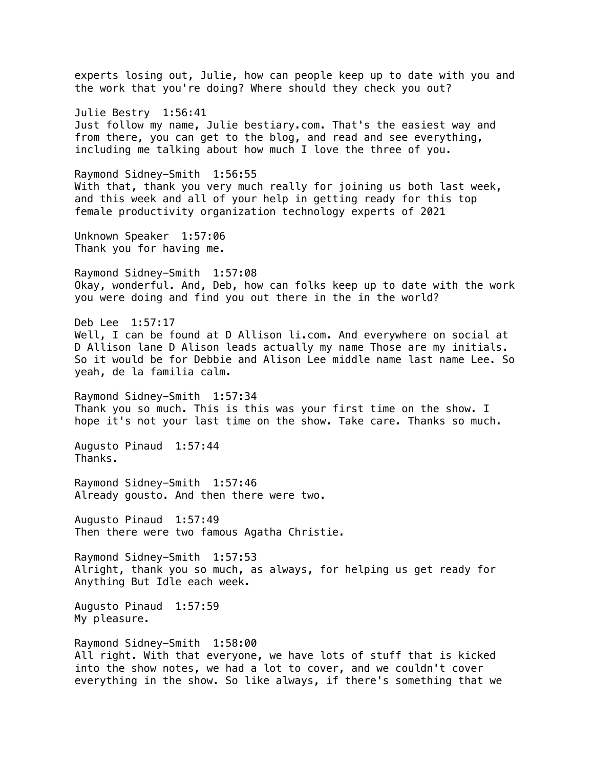experts losing out, Julie, how can people keep up to date with you and the work that you're doing? Where should they check you out? Julie Bestry 1:56:41 Just follow my name, Julie bestiary.com. That's the easiest way and from there, you can get to the blog, and read and see everything, including me talking about how much I love the three of you. Raymond Sidney-Smith 1:56:55 With that, thank you very much really for joining us both last week, and this week and all of your help in getting ready for this top female productivity organization technology experts of 2021 Unknown Speaker 1:57:06 Thank you for having me. Raymond Sidney-Smith 1:57:08 Okay, wonderful. And, Deb, how can folks keep up to date with the work you were doing and find you out there in the in the world? Deb Lee 1:57:17 Well, I can be found at D Allison li.com. And everywhere on social at D Allison lane D Alison leads actually my name Those are my initials. So it would be for Debbie and Alison Lee middle name last name Lee. So yeah, de la familia calm. Raymond Sidney-Smith 1:57:34 Thank you so much. This is this was your first time on the show. I hope it's not your last time on the show. Take care. Thanks so much. Augusto Pinaud 1:57:44 Thanks. Raymond Sidney-Smith 1:57:46 Already gousto. And then there were two. Augusto Pinaud 1:57:49 Then there were two famous Agatha Christie. Raymond Sidney-Smith 1:57:53 Alright, thank you so much, as always, for helping us get ready for Anything But Idle each week. Augusto Pinaud 1:57:59 My pleasure. Raymond Sidney-Smith 1:58:00 All right. With that everyone, we have lots of stuff that is kicked into the show notes, we had a lot to cover, and we couldn't cover everything in the show. So like always, if there's something that we